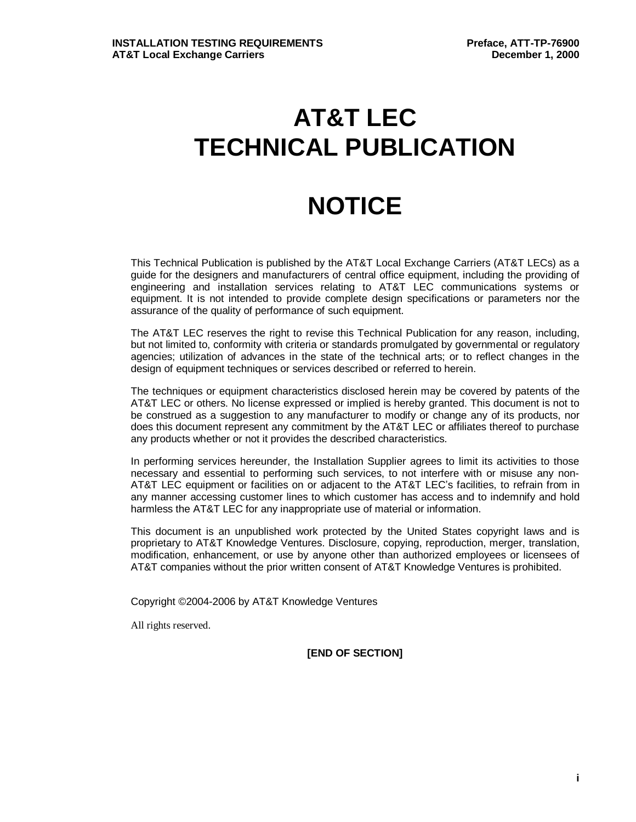# **AT&T LEC TECHNICAL PUBLICATION**

# **NOTICE**

This Technical Publication is published by the AT&T Local Exchange Carriers (AT&T LECs) as a guide for the designers and manufacturers of central office equipment, including the providing of engineering and installation services relating to AT&T LEC communications systems or equipment. It is not intended to provide complete design specifications or parameters nor the assurance of the quality of performance of such equipment.

The AT&T LEC reserves the right to revise this Technical Publication for any reason, including, but not limited to, conformity with criteria or standards promulgated by governmental or regulatory agencies; utilization of advances in the state of the technical arts; or to reflect changes in the design of equipment techniques or services described or referred to herein.

The techniques or equipment characteristics disclosed herein may be covered by patents of the AT&T LEC or others. No license expressed or implied is hereby granted. This document is not to be construed as a suggestion to any manufacturer to modify or change any of its products, nor does this document represent any commitment by the AT&T LEC or affiliates thereof to purchase any products whether or not it provides the described characteristics.

In performing services hereunder, the Installation Supplier agrees to limit its activities to those necessary and essential to performing such services, to not interfere with or misuse any non-AT&T LEC equipment or facilities on or adjacent to the AT&T LEC's facilities, to refrain from in any manner accessing customer lines to which customer has access and to indemnify and hold harmless the AT&T LEC for any inappropriate use of material or information.

This document is an unpublished work protected by the United States copyright laws and is proprietary to AT&T Knowledge Ventures. Disclosure, copying, reproduction, merger, translation, modification, enhancement, or use by anyone other than authorized employees or licensees of AT&T companies without the prior written consent of AT&T Knowledge Ventures is prohibited.

Copyright ©2004-2006 by AT&T Knowledge Ventures

All rights reserved.

**[END OF SECTION]**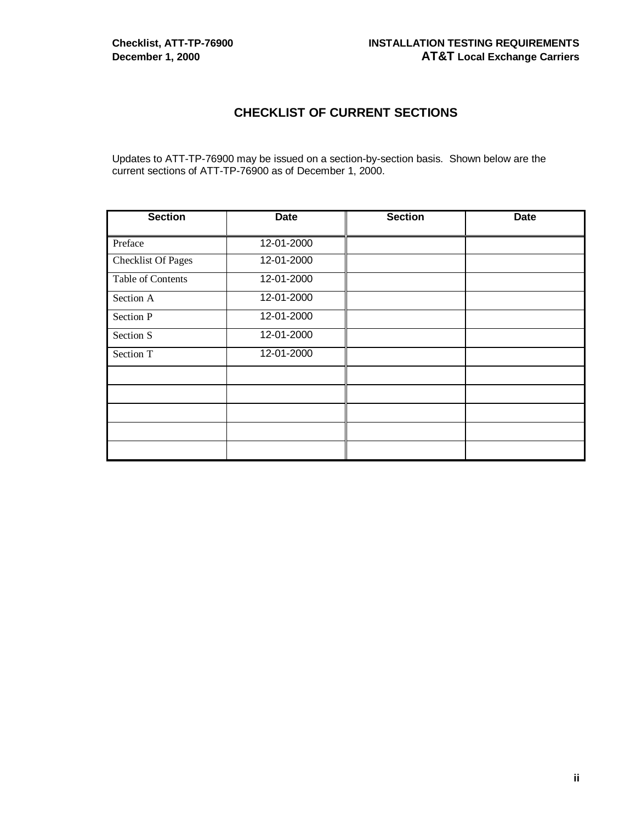# **CHECKLIST OF CURRENT SECTIONS**

Updates to ATT-TP-76900 may be issued on a section-by-section basis. Shown below are the current sections of ATT-TP-76900 as of December 1, 2000.

| <b>Section</b>            | <b>Date</b> | <b>Section</b> | <b>Date</b> |
|---------------------------|-------------|----------------|-------------|
| Preface                   | 12-01-2000  |                |             |
| <b>Checklist Of Pages</b> | 12-01-2000  |                |             |
| Table of Contents         | 12-01-2000  |                |             |
| Section A                 | 12-01-2000  |                |             |
| Section P                 | 12-01-2000  |                |             |
| Section S                 | 12-01-2000  |                |             |
| Section T                 | 12-01-2000  |                |             |
|                           |             |                |             |
|                           |             |                |             |
|                           |             |                |             |
|                           |             |                |             |
|                           |             |                |             |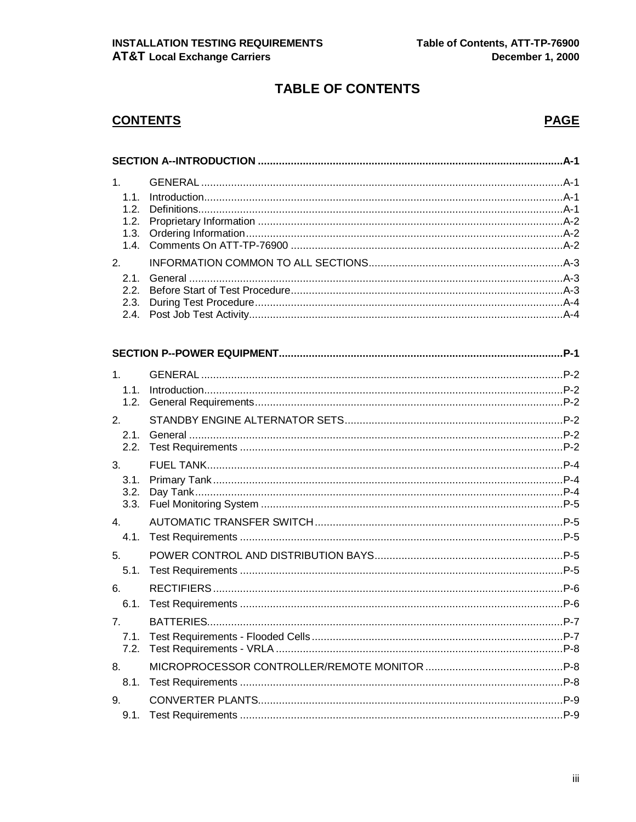# **TABLE OF CONTENTS**

# **CONTENTS**

# **PAGE**

| 1 <sub>1</sub><br>1.1.<br>1.2.<br>1.2.<br>1.3.<br>1.4. |  |  |
|--------------------------------------------------------|--|--|
| 2.<br>2.1.<br>2.2.<br>2.3.<br>2.4.                     |  |  |
|                                                        |  |  |
| 1.<br>1.1.<br>1.2.                                     |  |  |
| 2.<br>2.1.<br>2.2.                                     |  |  |
| 3.<br>3.1.                                             |  |  |

| $P-4$ |
|-------|
|       |
|       |
|       |
|       |
|       |
|       |
|       |
|       |
|       |
|       |
|       |
|       |
|       |
|       |
|       |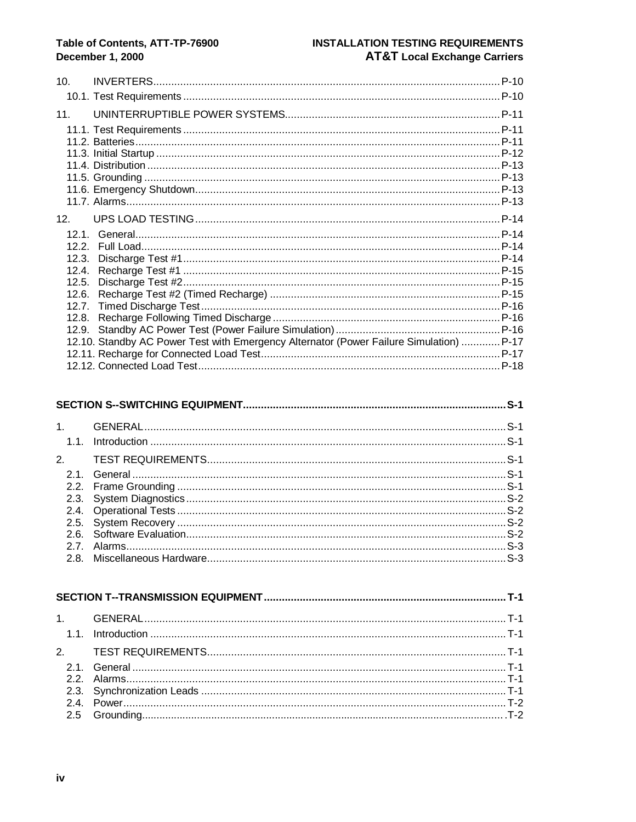## Table of Contents, ATT-TP-76900 **December 1, 2000**

# **INSTALLATION TESTING REQUIREMENTS AT&T Local Exchange Carriers**

| 10 <sub>1</sub> |                                                                                         |  |
|-----------------|-----------------------------------------------------------------------------------------|--|
|                 |                                                                                         |  |
| 11.             |                                                                                         |  |
|                 |                                                                                         |  |
|                 |                                                                                         |  |
|                 |                                                                                         |  |
|                 |                                                                                         |  |
|                 |                                                                                         |  |
|                 |                                                                                         |  |
|                 |                                                                                         |  |
| 12 <sub>1</sub> |                                                                                         |  |
|                 |                                                                                         |  |
| 12.2.           |                                                                                         |  |
| 12.3.           |                                                                                         |  |
| 12.4.           |                                                                                         |  |
| 12.5.           |                                                                                         |  |
| 12.6.           |                                                                                         |  |
| 12.7.           |                                                                                         |  |
| 12.8.           |                                                                                         |  |
| 12.9.           |                                                                                         |  |
|                 | 12.10. Standby AC Power Test with Emergency Alternator (Power Failure Simulation)  P-17 |  |
|                 |                                                                                         |  |
|                 |                                                                                         |  |

#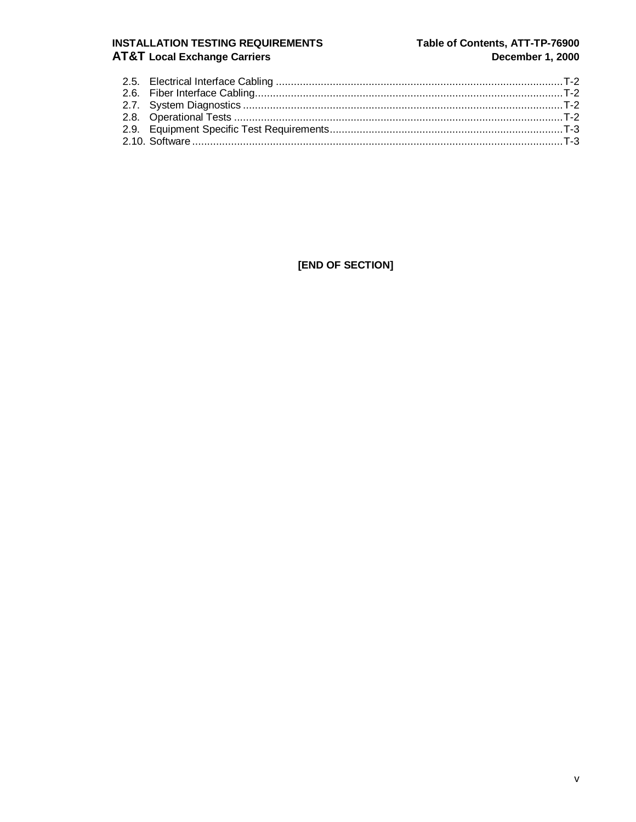# **INSTALLATION TESTING REQUIREMENTS AT&T Local Exchange Carriers**

# Table of Contents, ATT-TP-76900 December 1, 2000

[END OF SECTION]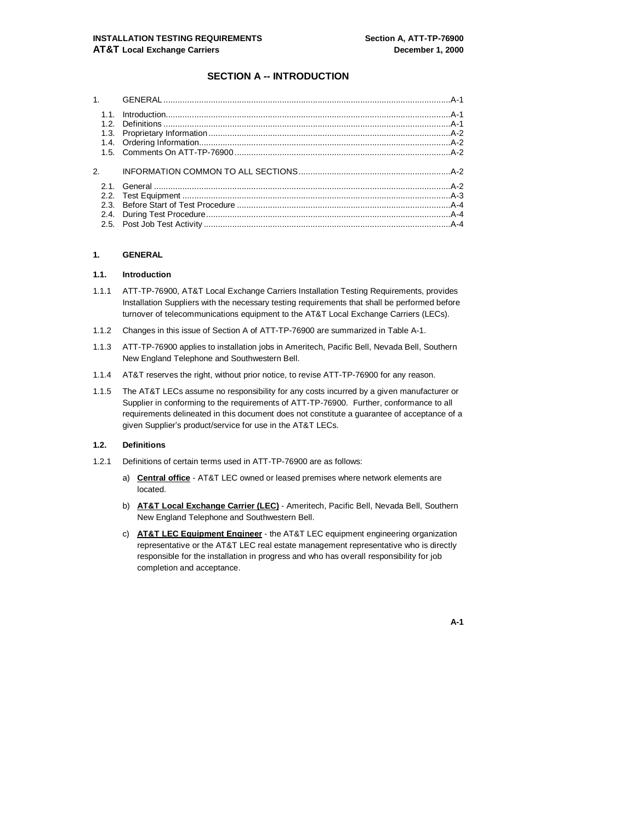#### **SECTION A -- INTRODUCTION**

#### **1. GENERAL**

#### **1.1. Introduction**

- 1.1.1 ATT-TP-76900, AT&T Local Exchange Carriers Installation Testing Requirements, provides Installation Suppliers with the necessary testing requirements that shall be performed before turnover of telecommunications equipment to the AT&T Local Exchange Carriers (LECs).
- 1.1.2 Changes in this issue of Section A of ATT-TP-76900 are summarized in Table A-1.
- 1.1.3 ATT-TP-76900 applies to installation jobs in Ameritech, Pacific Bell, Nevada Bell, Southern New England Telephone and Southwestern Bell.
- 1.1.4 AT&T reserves the right, without prior notice, to revise ATT-TP-76900 for any reason.
- 1.1.5 The AT&T LECs assume no responsibility for any costs incurred by a given manufacturer or Supplier in conforming to the requirements of ATT-TP-76900. Further, conformance to all requirements delineated in this document does not constitute a guarantee of acceptance of a given Supplier's product/service for use in the AT&T LECs.

#### **1.2. Definitions**

- 1.2.1 Definitions of certain terms used in ATT-TP-76900 are as follows:
	- a) **Central office** AT&T LEC owned or leased premises where network elements are located.
	- b) **AT&T Local Exchange Carrier (LEC)** Ameritech, Pacific Bell, Nevada Bell, Southern New England Telephone and Southwestern Bell.
	- c) **AT&T LEC Equipment Engineer** the AT&T LEC equipment engineering organization representative or the AT&T LEC real estate management representative who is directly responsible for the installation in progress and who has overall responsibility for job completion and acceptance.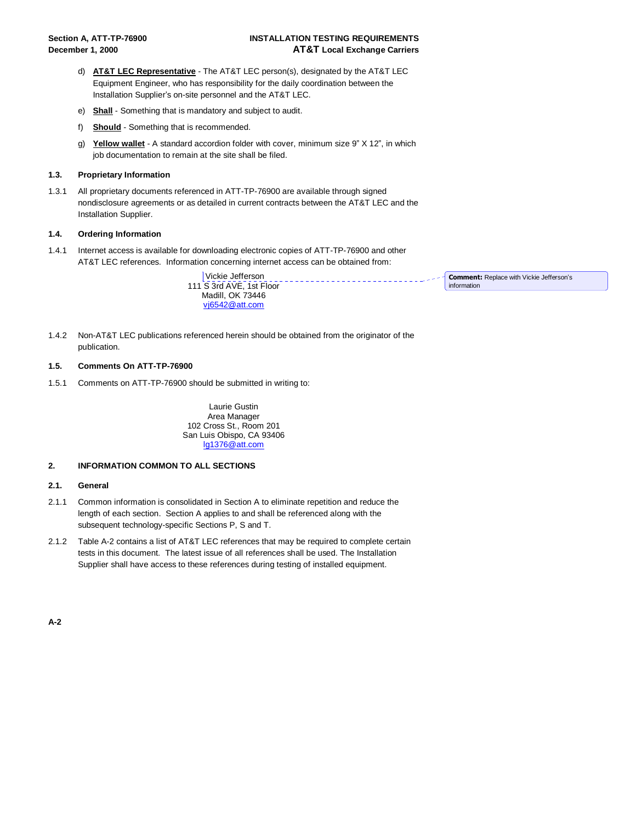#### **Section A, ATT-TP-76900 INSTALLATION TESTING REQUIREMENTS December 1, 2000 AT&T Local Exchange Carriers**

- d) **AT&T LEC Representative** The AT&T LEC person(s), designated by the AT&T LEC Equipment Engineer, who has responsibility for the daily coordination between the Installation Supplier's on-site personnel and the AT&T LEC.
- e) **Shall** Something that is mandatory and subject to audit.
- f) **Should** Something that is recommended.
- g) **Yellow wallet** A standard accordion folder with cover, minimum size 9" X 12", in which job documentation to remain at the site shall be filed.

#### **1.3. Proprietary Information**

1.3.1 All proprietary documents referenced in ATT-TP-76900 are available through signed nondisclosure agreements or as detailed in current contracts between the AT&T LEC and the Installation Supplier.

#### **1.4. Ordering Information**

1.4.1 Internet access is available for downloading electronic copies of ATT-TP-76900 and other AT&T LEC references. Information concerning internet access can be obtained from:

> Vickie Jefferson 111 S 3rd AVE, 1st Floor

**Comment:** Replace with Vickie Jefferson's information

- Madill, OK 73446 vj6542@att.com
- 1.4.2 Non-AT&T LEC publications referenced herein should be obtained from the originator of the publication.

#### **1.5. Comments On ATT-TP-76900**

1.5.1 Comments on ATT-TP-76900 should be submitted in writing to:

Laurie Gustin Area Manager 102 Cross St., Room 201 San Luis Obispo, CA 93406 lg1376@att.com

#### **2. INFORMATION COMMON TO ALL SECTIONS**

#### **2.1. General**

- 2.1.1 Common information is consolidated in Section A to eliminate repetition and reduce the length of each section. Section A applies to and shall be referenced along with the subsequent technology-specific Sections P, S and T.
- 2.1.2 Table A-2 contains a list of AT&T LEC references that may be required to complete certain tests in this document. The latest issue of all references shall be used. The Installation Supplier shall have access to these references during testing of installed equipment.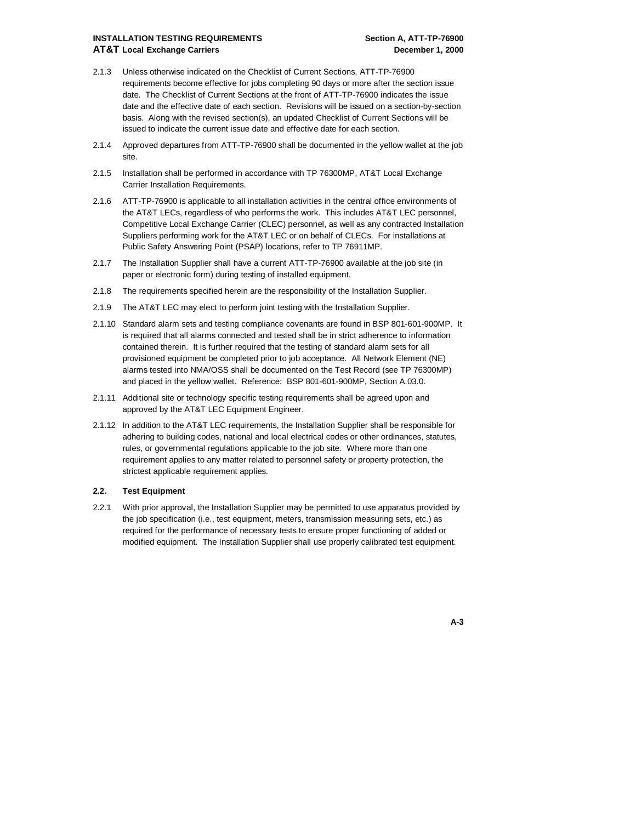#### **INSTALLATION TESTING REQUIREMENTS THE SECTION A, ATT-TP-76900 AT&T Local Exchange Carriers December 1, 2000**

- 2.1.3 Unless otherwise indicated on the Checklist of Current Sections, ATT-TP-76900 requirements become effective for jobs completing 90 days or more after the section issue date. The Checklist of Current Sections at the front of ATT-TP-76900 indicates the issue date and the effective date of each section. Revisions will be issued on a section-by-section basis. Along with the revised section(s), an updated Checklist of Current Sections will be issued to indicate the current issue date and effective date for each section.
- 2.1.4 Approved departures from ATT-TP-76900 shall be documented in the yellow wallet at the job site.
- 2.1.5 Installation shall be performed in accordance with TP 76300MP, AT&T Local Exchange Carrier Installation Requirements.
- 2.1.6 ATT-TP-76900 is applicable to all installation activities in the central office environments of the AT&T LECs, regardless of who performs the work. This includes AT&T LEC personnel, Competitive Local Exchange Carrier (CLEC) personnel, as well as any contracted Installation Suppliers performing work for the AT&T LEC or on behalf of CLECs. For installations at Public Safety Answering Point (PSAP) locations, refer to TP 76911MP.
- 2.1.7 The Installation Supplier shall have a current ATT-TP-76900 available at the job site (in paper or electronic form) during testing of installed equipment.
- 2.1.8 The requirements specified herein are the responsibility of the Installation Supplier.
- 2.1.9 The AT&T LEC may elect to perform joint testing with the Installation Supplier.
- 2.1.10 Standard alarm sets and testing compliance covenants are found in BSP 801-601-900MP. It is required that all alarms connected and tested shall be in strict adherence to information contained therein. It is further required that the testing of standard alarm sets for all provisioned equipment be completed prior to job acceptance. All Network Element (NE) alarms tested into NMA/OSS shall be documented on the Test Record (see TP 76300MP) and placed in the yellow wallet. Reference: BSP 801-601-900MP, Section A.03.0.
- 2.1.11 Additional site or technology specific testing requirements shall be agreed upon and approved by the AT&T LEC Equipment Engineer.
- 2.1.12 In addition to the AT&T LEC requirements, the Installation Supplier shall be responsible for adhering to building codes, national and local electrical codes or other ordinances, statutes, rules, or governmental regulations applicable to the job site. Where more than one requirement applies to any matter related to personnel safety or property protection, the strictest applicable requirement applies.

#### **2.2. Test Equipment**

2.2.1 With prior approval, the Installation Supplier may be permitted to use apparatus provided by the job specification (i.e., test equipment, meters, transmission measuring sets, etc.) as required for the performance of necessary tests to ensure proper functioning of added or modified equipment. The Installation Supplier shall use properly calibrated test equipment.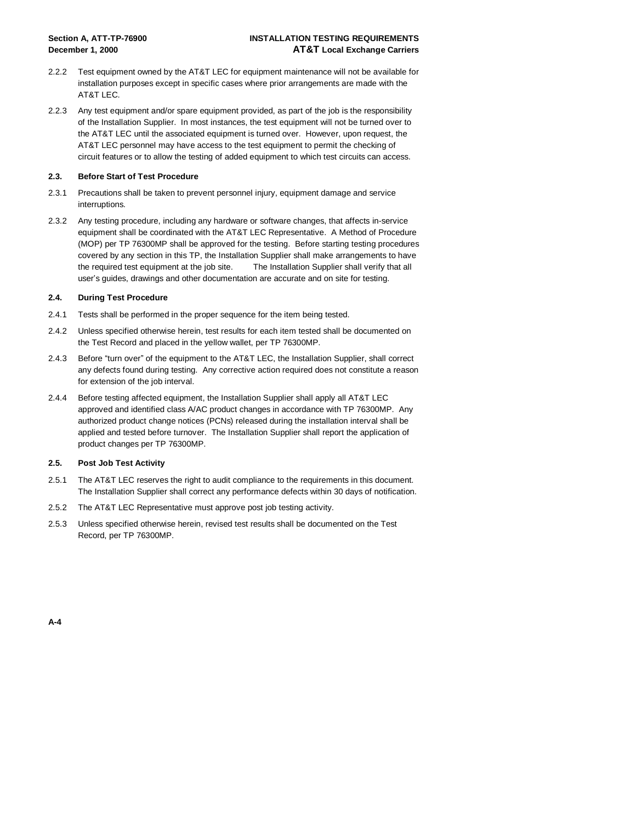#### **Section A, ATT-TP-76900 INSTALLATION TESTING REQUIREMENTS December 1, 2000 AT&T Local Exchange Carriers**

- 2.2.2 Test equipment owned by the AT&T LEC for equipment maintenance will not be available for installation purposes except in specific cases where prior arrangements are made with the AT&T LEC.
- 2.2.3 Any test equipment and/or spare equipment provided, as part of the job is the responsibility of the Installation Supplier. In most instances, the test equipment will not be turned over to the AT&T LEC until the associated equipment is turned over. However, upon request, the AT&T LEC personnel may have access to the test equipment to permit the checking of circuit features or to allow the testing of added equipment to which test circuits can access.

#### **2.3. Before Start of Test Procedure**

- 2.3.1 Precautions shall be taken to prevent personnel injury, equipment damage and service interruptions.
- 2.3.2 Any testing procedure, including any hardware or software changes, that affects in-service equipment shall be coordinated with the AT&T LEC Representative. A Method of Procedure (MOP) per TP 76300MP shall be approved for the testing. Before starting testing procedures covered by any section in this TP, the Installation Supplier shall make arrangements to have the required test equipment at the job site. The Installation Supplier shall verify that all user's guides, drawings and other documentation are accurate and on site for testing.

#### **2.4. During Test Procedure**

- 2.4.1 Tests shall be performed in the proper sequence for the item being tested.
- 2.4.2 Unless specified otherwise herein, test results for each item tested shall be documented on the Test Record and placed in the yellow wallet, per TP 76300MP.
- 2.4.3 Before "turn over" of the equipment to the AT&T LEC, the Installation Supplier, shall correct any defects found during testing. Any corrective action required does not constitute a reason for extension of the job interval.
- 2.4.4 Before testing affected equipment, the Installation Supplier shall apply all AT&T LEC approved and identified class A/AC product changes in accordance with TP 76300MP. Any authorized product change notices (PCNs) released during the installation interval shall be applied and tested before turnover. The Installation Supplier shall report the application of product changes per TP 76300MP.

#### **2.5. Post Job Test Activity**

- 2.5.1 The AT&T LEC reserves the right to audit compliance to the requirements in this document. The Installation Supplier shall correct any performance defects within 30 days of notification.
- 2.5.2 The AT&T LEC Representative must approve post job testing activity.
- 2.5.3 Unless specified otherwise herein, revised test results shall be documented on the Test Record, per TP 76300MP.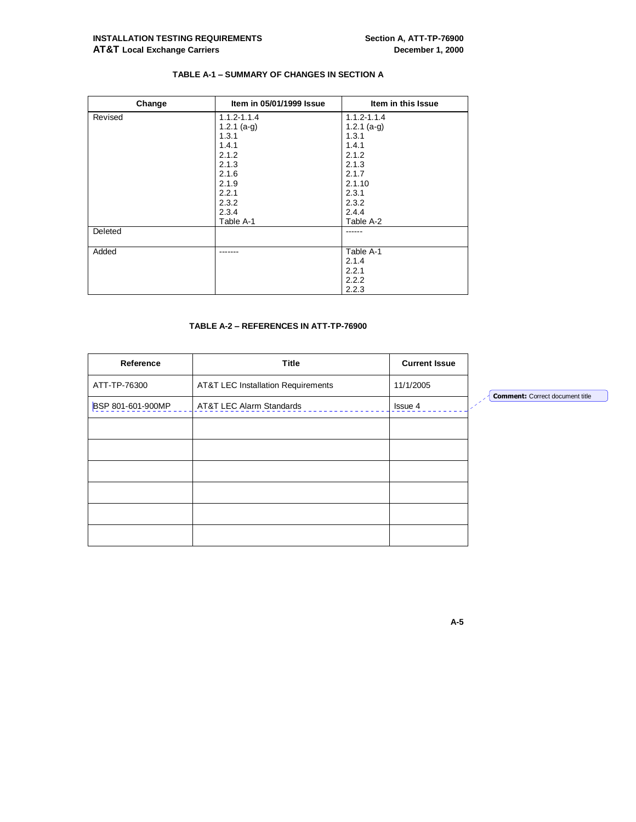#### **TABLE A-1 – SUMMARY OF CHANGES IN SECTION A**

| Change  | Item in 05/01/1999 Issue | Item in this Issue |
|---------|--------------------------|--------------------|
| Revised | $1.1.2 - 1.1.4$          | $1.1.2 - 1.1.4$    |
|         | $1.2.1$ (a-g)            | 1.2.1 $(a-q)$      |
|         | 1.3.1                    | 1.3.1              |
|         | 1.4.1                    | 1.4.1              |
|         | 2.1.2                    | 2.1.2              |
|         | 2.1.3                    | 2.1.3              |
|         | 2.1.6                    | 2.1.7              |
|         | 2.1.9                    | 2.1.10             |
|         | 2.2.1                    | 2.3.1              |
|         | 2.3.2                    | 2.3.2              |
|         | 2.3.4                    | 2.4.4              |
|         | Table A-1                | Table A-2          |
| Deleted |                          |                    |
|         |                          |                    |
| Added   | ------                   | Table A-1          |
|         |                          | 2.1.4              |
|         |                          | 2.2.1              |
|         |                          | 2.2.2              |
|         |                          | 2.2.3              |

#### **TABLE A-2 – REFERENCES IN ATT-TP-76900**

| Reference         | <b>Title</b>                                  | <b>Current Issue</b> |
|-------------------|-----------------------------------------------|----------------------|
| ATT-TP-76300      | <b>AT&amp;T LEC Installation Requirements</b> | 11/1/2005            |
| BSP 801-601-900MP | AT&T LEC Alarm Standards                      | Issue 4              |
|                   |                                               |                      |
|                   |                                               |                      |
|                   |                                               |                      |
|                   |                                               |                      |
|                   |                                               |                      |
|                   |                                               |                      |

**Comment:** Correct document title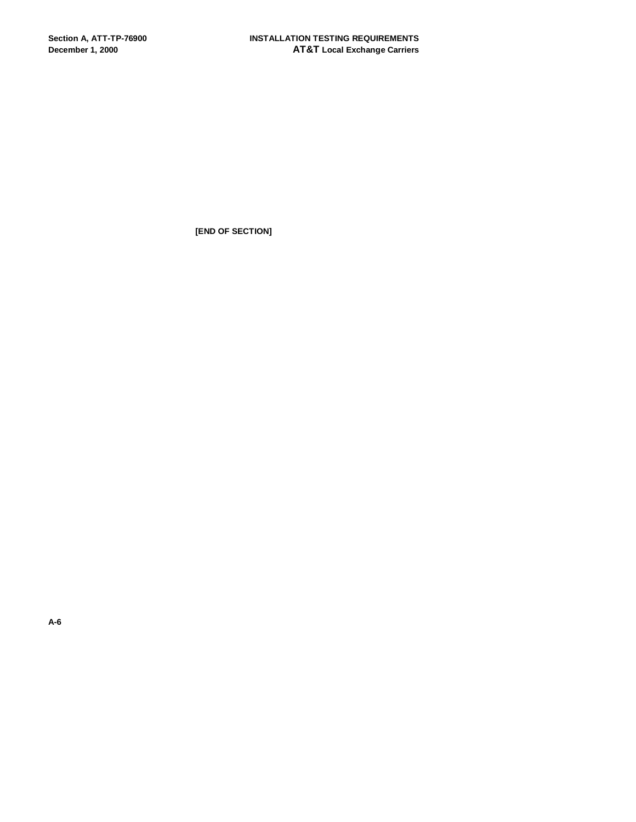**[END OF SECTION]**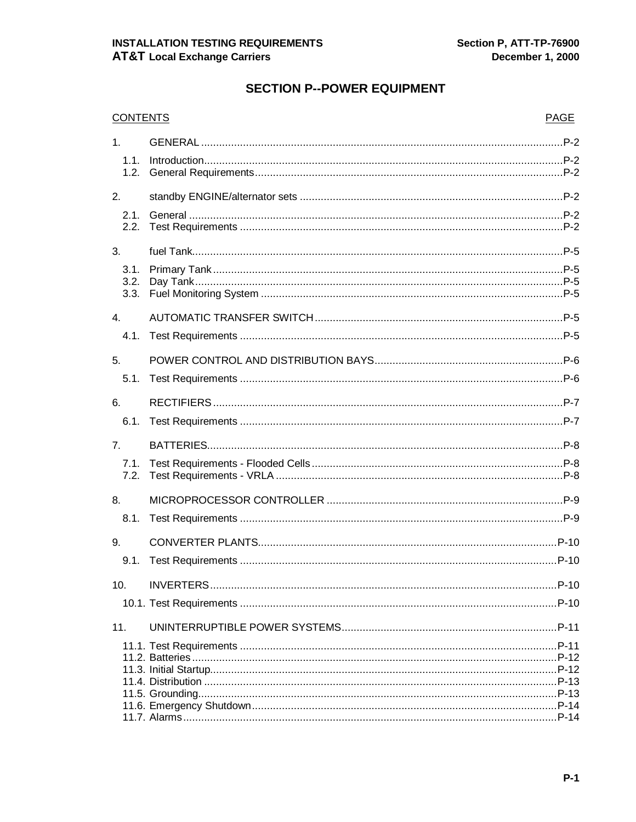# **SECTION P--POWER EQUIPMENT**

| <b>CONTENTS</b>  |  | <b>PAGE</b> |
|------------------|--|-------------|
| 1 <sub>1</sub>   |  |             |
| 1.1.             |  |             |
| 1.2.             |  |             |
| 2.               |  |             |
| 2.1.             |  |             |
| 2.2.             |  |             |
| 3.               |  |             |
| 3.1.             |  |             |
| 3.2.             |  |             |
| 3.3.             |  |             |
| $\overline{4}$ . |  |             |
| 4.1.             |  |             |
| 5.               |  |             |
| 5.1.             |  |             |
| 6.               |  |             |
| 6.1.             |  |             |
| 7.               |  |             |
| 7.1.             |  |             |
| 7.2.             |  |             |
| 8.               |  |             |
| 8.1.             |  |             |
| 9.               |  |             |
| 9.1.             |  |             |
| 10.              |  |             |
|                  |  |             |
|                  |  |             |
| 11.              |  |             |
|                  |  |             |
|                  |  |             |
|                  |  |             |
|                  |  |             |
|                  |  |             |
|                  |  |             |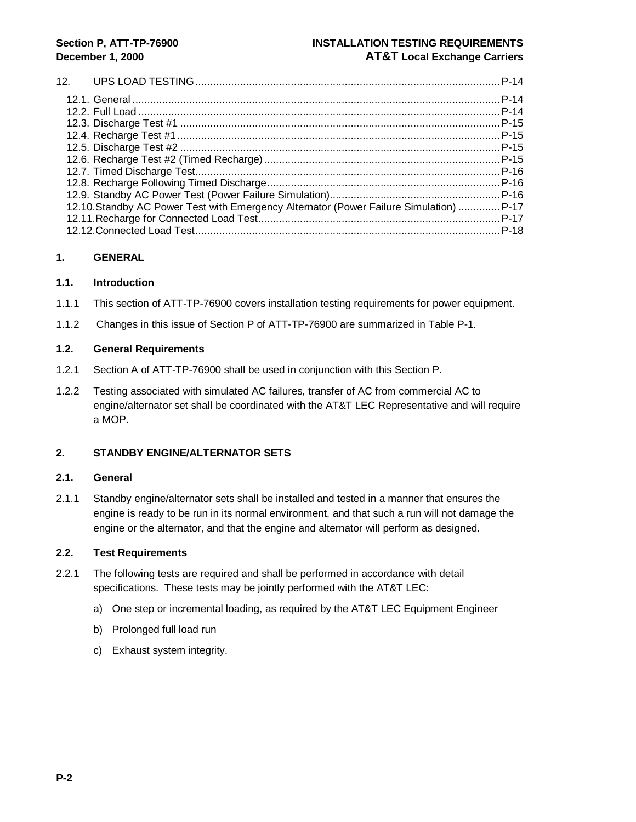### **Section P, ATT-TP-76900 INSTALLATION TESTING REQUIREMENTS December 1, 2000 AT&T Local Exchange Carriers**

#### 12. UPS LOAD TESTING......................................................................................................P-14 12.1. General ...........................................................................................................................P-14 12.2. Full Load .........................................................................................................................P-14 12.3. Discharge Test #1 ...........................................................................................................P-15 12.4. Recharge Test #1............................................................................................................P-15 12.5. Discharge Test #2 ...........................................................................................................P-15 12.6. Recharge Test #2 (Timed Recharge)...............................................................................P-15 12.7. Timed Discharge Test......................................................................................................P-16 12.8. Recharge Following Timed Discharge..............................................................................P-16 12.9. Standby AC Power Test (Power Failure Simulation).........................................................P-16 12.10.Standby AC Power Test with Emergency Alternator (Power Failure Simulation) ..............P-17 12.11.Recharge for Connected Load Test.................................................................................P-17 12.12.Connected Load Test......................................................................................................P-18

#### **1. GENERAL**

#### **1.1. Introduction**

- 1.1.1 This section of ATT-TP-76900 covers installation testing requirements for power equipment.
- 1.1.2 Changes in this issue of Section P of ATT-TP-76900 are summarized in Table P-1.

#### **1.2. General Requirements**

- 1.2.1 Section A of ATT-TP-76900 shall be used in conjunction with this Section P.
- 1.2.2 Testing associated with simulated AC failures, transfer of AC from commercial AC to engine/alternator set shall be coordinated with the AT&T LEC Representative and will require a MOP.

### **2. STANDBY ENGINE/ALTERNATOR SETS**

#### **2.1. General**

2.1.1 Standby engine/alternator sets shall be installed and tested in a manner that ensures the engine is ready to be run in its normal environment, and that such a run will not damage the engine or the alternator, and that the engine and alternator will perform as designed.

- 2.2.1 The following tests are required and shall be performed in accordance with detail specifications. These tests may be jointly performed with the AT&T LEC:
	- a) One step or incremental loading, as required by the AT&T LEC Equipment Engineer
	- b) Prolonged full load run
	- c) Exhaust system integrity.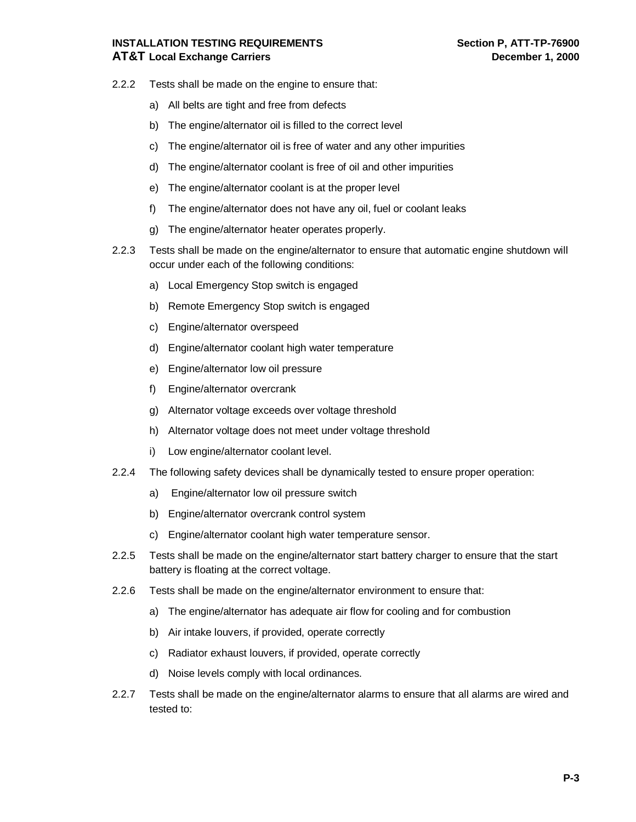# **INSTALLATION TESTING REQUIREMENTS Section P, ATT-TP-76900 AT&T Local Exchange Carriers December 1, 2000**

- 2.2.2 Tests shall be made on the engine to ensure that:
	- a) All belts are tight and free from defects
	- b) The engine/alternator oil is filled to the correct level
	- c) The engine/alternator oil is free of water and any other impurities
	- d) The engine/alternator coolant is free of oil and other impurities
	- e) The engine/alternator coolant is at the proper level
	- f) The engine/alternator does not have any oil, fuel or coolant leaks
	- g) The engine/alternator heater operates properly.
- 2.2.3 Tests shall be made on the engine/alternator to ensure that automatic engine shutdown will occur under each of the following conditions:
	- a) Local Emergency Stop switch is engaged
	- b) Remote Emergency Stop switch is engaged
	- c) Engine/alternator overspeed
	- d) Engine/alternator coolant high water temperature
	- e) Engine/alternator low oil pressure
	- f) Engine/alternator overcrank
	- g) Alternator voltage exceeds over voltage threshold
	- h) Alternator voltage does not meet under voltage threshold
	- i) Low engine/alternator coolant level.
- 2.2.4 The following safety devices shall be dynamically tested to ensure proper operation:
	- a) Engine/alternator low oil pressure switch
	- b) Engine/alternator overcrank control system
	- c) Engine/alternator coolant high water temperature sensor.
- 2.2.5 Tests shall be made on the engine/alternator start battery charger to ensure that the start battery is floating at the correct voltage.
- 2.2.6 Tests shall be made on the engine/alternator environment to ensure that:
	- a) The engine/alternator has adequate air flow for cooling and for combustion
	- b) Air intake louvers, if provided, operate correctly
	- c) Radiator exhaust louvers, if provided, operate correctly
	- d) Noise levels comply with local ordinances.
- 2.2.7 Tests shall be made on the engine/alternator alarms to ensure that all alarms are wired and tested to: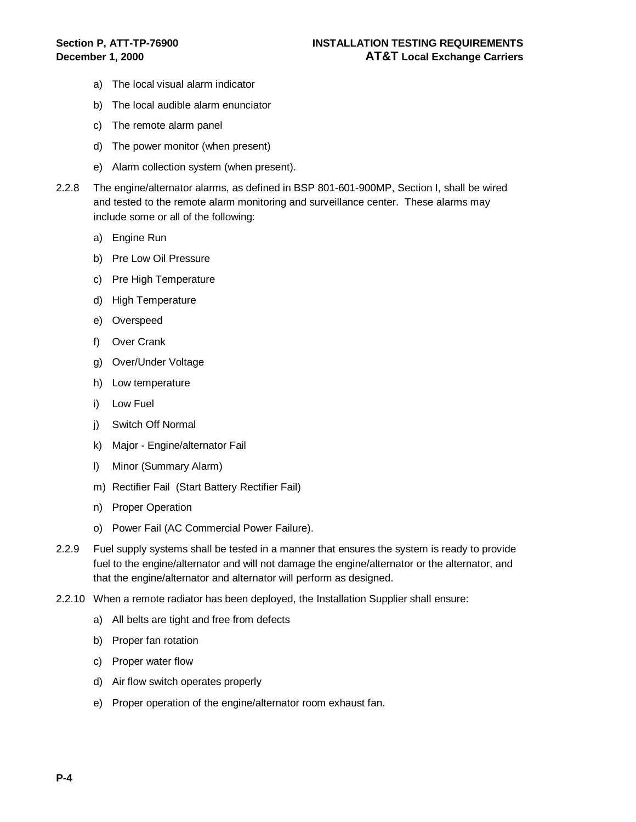- a) The local visual alarm indicator
- b) The local audible alarm enunciator
- c) The remote alarm panel
- d) The power monitor (when present)
- e) Alarm collection system (when present).
- 2.2.8 The engine/alternator alarms, as defined in BSP 801-601-900MP, Section I, shall be wired and tested to the remote alarm monitoring and surveillance center. These alarms may include some or all of the following:
	- a) Engine Run
	- b) Pre Low Oil Pressure
	- c) Pre High Temperature
	- d) High Temperature
	- e) Overspeed
	- f) Over Crank
	- g) Over/Under Voltage
	- h) Low temperature
	- i) Low Fuel
	- j) Switch Off Normal
	- k) Major Engine/alternator Fail
	- l) Minor (Summary Alarm)
	- m) Rectifier Fail (Start Battery Rectifier Fail)
	- n) Proper Operation
	- o) Power Fail (AC Commercial Power Failure).
- 2.2.9 Fuel supply systems shall be tested in a manner that ensures the system is ready to provide fuel to the engine/alternator and will not damage the engine/alternator or the alternator, and that the engine/alternator and alternator will perform as designed.
- 2.2.10 When a remote radiator has been deployed, the Installation Supplier shall ensure:
	- a) All belts are tight and free from defects
	- b) Proper fan rotation
	- c) Proper water flow
	- d) Air flow switch operates properly
	- e) Proper operation of the engine/alternator room exhaust fan.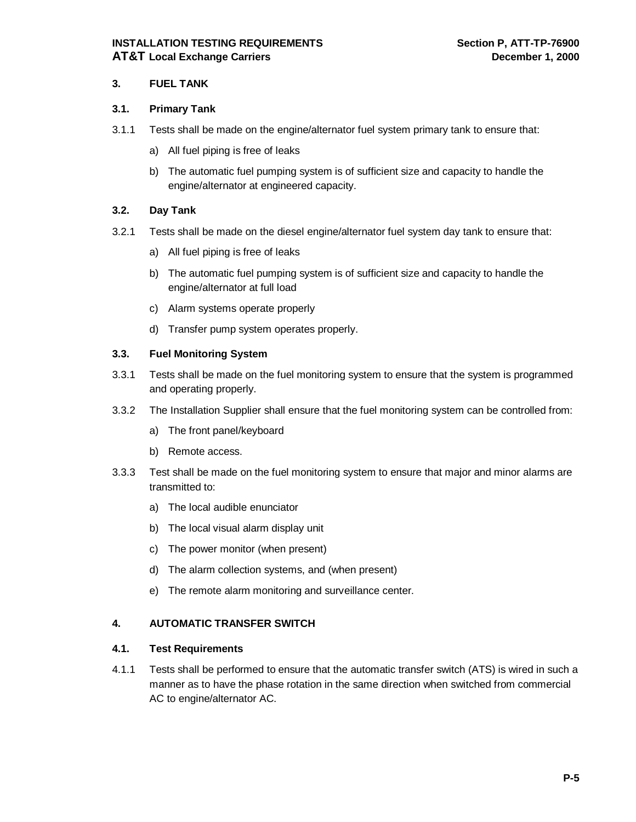#### **3. FUEL TANK**

#### **3.1. Primary Tank**

- 3.1.1 Tests shall be made on the engine/alternator fuel system primary tank to ensure that:
	- a) All fuel piping is free of leaks
	- b) The automatic fuel pumping system is of sufficient size and capacity to handle the engine/alternator at engineered capacity.

#### **3.2. Day Tank**

- 3.2.1 Tests shall be made on the diesel engine/alternator fuel system day tank to ensure that:
	- a) All fuel piping is free of leaks
	- b) The automatic fuel pumping system is of sufficient size and capacity to handle the engine/alternator at full load
	- c) Alarm systems operate properly
	- d) Transfer pump system operates properly.

#### **3.3. Fuel Monitoring System**

- 3.3.1 Tests shall be made on the fuel monitoring system to ensure that the system is programmed and operating properly.
- 3.3.2 The Installation Supplier shall ensure that the fuel monitoring system can be controlled from:
	- a) The front panel/keyboard
	- b) Remote access.
- 3.3.3 Test shall be made on the fuel monitoring system to ensure that major and minor alarms are transmitted to:
	- a) The local audible enunciator
	- b) The local visual alarm display unit
	- c) The power monitor (when present)
	- d) The alarm collection systems, and (when present)
	- e) The remote alarm monitoring and surveillance center.

#### **4. AUTOMATIC TRANSFER SWITCH**

#### **4.1. Test Requirements**

4.1.1 Tests shall be performed to ensure that the automatic transfer switch (ATS) is wired in such a manner as to have the phase rotation in the same direction when switched from commercial AC to engine/alternator AC.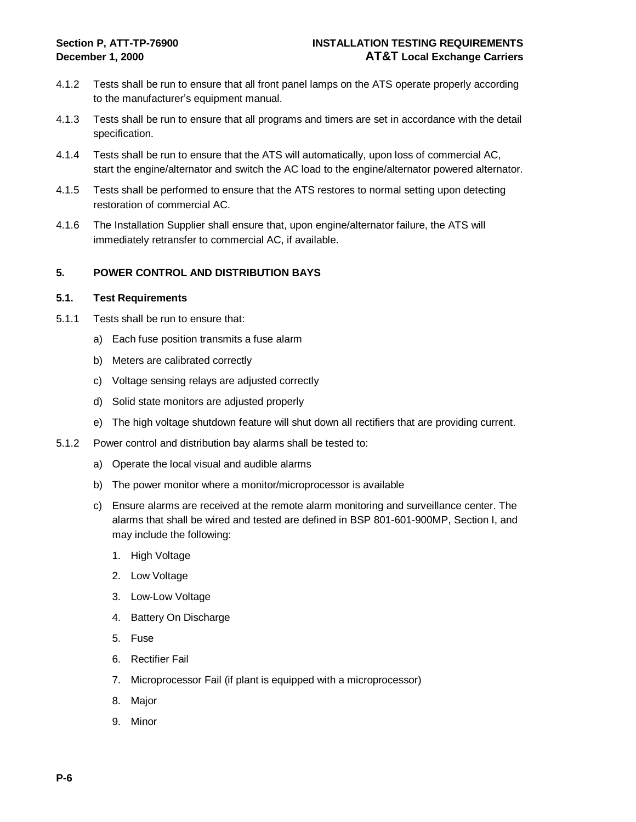- 4.1.2 Tests shall be run to ensure that all front panel lamps on the ATS operate properly according to the manufacturer's equipment manual.
- 4.1.3 Tests shall be run to ensure that all programs and timers are set in accordance with the detail specification.
- 4.1.4 Tests shall be run to ensure that the ATS will automatically, upon loss of commercial AC, start the engine/alternator and switch the AC load to the engine/alternator powered alternator.
- 4.1.5 Tests shall be performed to ensure that the ATS restores to normal setting upon detecting restoration of commercial AC.
- 4.1.6 The Installation Supplier shall ensure that, upon engine/alternator failure, the ATS will immediately retransfer to commercial AC, if available.

#### **5. POWER CONTROL AND DISTRIBUTION BAYS**

- 5.1.1 Tests shall be run to ensure that:
	- a) Each fuse position transmits a fuse alarm
	- b) Meters are calibrated correctly
	- c) Voltage sensing relays are adjusted correctly
	- d) Solid state monitors are adjusted properly
	- e) The high voltage shutdown feature will shut down all rectifiers that are providing current.
- 5.1.2 Power control and distribution bay alarms shall be tested to:
	- a) Operate the local visual and audible alarms
	- b) The power monitor where a monitor/microprocessor is available
	- c) Ensure alarms are received at the remote alarm monitoring and surveillance center. The alarms that shall be wired and tested are defined in BSP 801-601-900MP, Section I, and may include the following:
		- 1. High Voltage
		- 2. Low Voltage
		- 3. Low-Low Voltage
		- 4. Battery On Discharge
		- 5. Fuse
		- 6. Rectifier Fail
		- 7. Microprocessor Fail (if plant is equipped with a microprocessor)
		- 8. Major
		- 9. Minor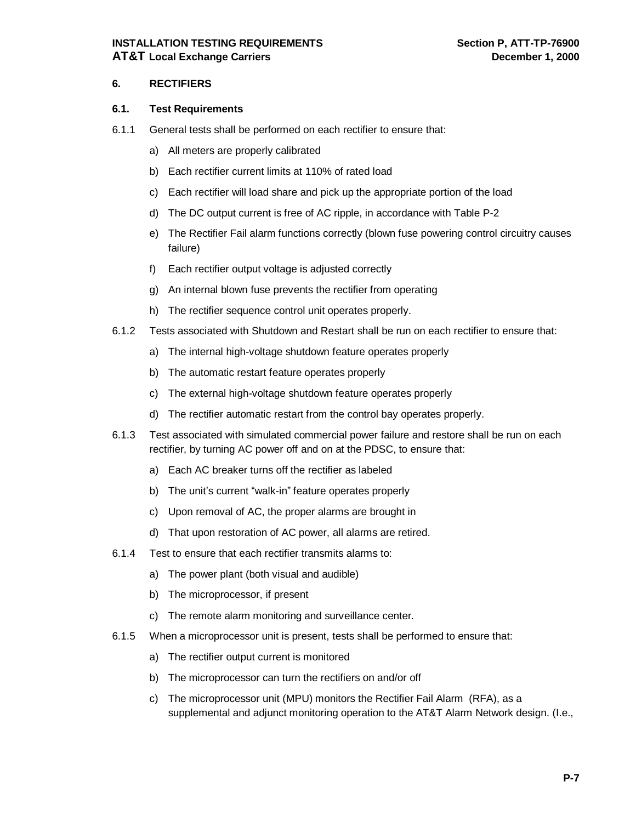### **INSTALLATION TESTING REQUIREMENTS Section P, ATT-TP-76900 AT&T Local Exchange Carriers December 1, 2000**

#### **6. RECTIFIERS**

- 6.1.1 General tests shall be performed on each rectifier to ensure that:
	- a) All meters are properly calibrated
	- b) Each rectifier current limits at 110% of rated load
	- c) Each rectifier will load share and pick up the appropriate portion of the load
	- d) The DC output current is free of AC ripple, in accordance with Table P-2
	- e) The Rectifier Fail alarm functions correctly (blown fuse powering control circuitry causes failure)
	- f) Each rectifier output voltage is adjusted correctly
	- g) An internal blown fuse prevents the rectifier from operating
	- h) The rectifier sequence control unit operates properly.
- 6.1.2 Tests associated with Shutdown and Restart shall be run on each rectifier to ensure that:
	- a) The internal high-voltage shutdown feature operates properly
	- b) The automatic restart feature operates properly
	- c) The external high-voltage shutdown feature operates properly
	- d) The rectifier automatic restart from the control bay operates properly.
- 6.1.3 Test associated with simulated commercial power failure and restore shall be run on each rectifier, by turning AC power off and on at the PDSC, to ensure that:
	- a) Each AC breaker turns off the rectifier as labeled
	- b) The unit's current "walk-in" feature operates properly
	- c) Upon removal of AC, the proper alarms are brought in
	- d) That upon restoration of AC power, all alarms are retired.
- 6.1.4 Test to ensure that each rectifier transmits alarms to:
	- a) The power plant (both visual and audible)
	- b) The microprocessor, if present
	- c) The remote alarm monitoring and surveillance center.
- 6.1.5 When a microprocessor unit is present, tests shall be performed to ensure that:
	- a) The rectifier output current is monitored
	- b) The microprocessor can turn the rectifiers on and/or off
	- c) The microprocessor unit (MPU) monitors the Rectifier Fail Alarm (RFA), as a supplemental and adjunct monitoring operation to the AT&T Alarm Network design. (I.e.,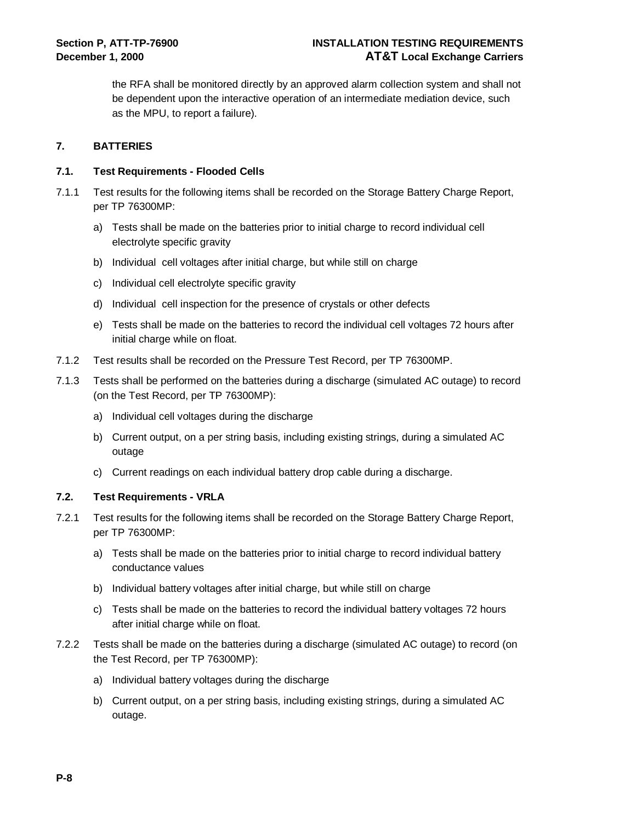the RFA shall be monitored directly by an approved alarm collection system and shall not be dependent upon the interactive operation of an intermediate mediation device, such as the MPU, to report a failure).

#### **7. BATTERIES**

#### **7.1. Test Requirements - Flooded Cells**

- 7.1.1 Test results for the following items shall be recorded on the Storage Battery Charge Report, per TP 76300MP:
	- a) Tests shall be made on the batteries prior to initial charge to record individual cell electrolyte specific gravity
	- b) Individual cell voltages after initial charge, but while still on charge
	- c) Individual cell electrolyte specific gravity
	- d) Individual cell inspection for the presence of crystals or other defects
	- e) Tests shall be made on the batteries to record the individual cell voltages 72 hours after initial charge while on float.
- 7.1.2 Test results shall be recorded on the Pressure Test Record, per TP 76300MP.
- 7.1.3 Tests shall be performed on the batteries during a discharge (simulated AC outage) to record (on the Test Record, per TP 76300MP):
	- a) Individual cell voltages during the discharge
	- b) Current output, on a per string basis, including existing strings, during a simulated AC outage
	- c) Current readings on each individual battery drop cable during a discharge.

#### **7.2. Test Requirements - VRLA**

- 7.2.1 Test results for the following items shall be recorded on the Storage Battery Charge Report, per TP 76300MP:
	- a) Tests shall be made on the batteries prior to initial charge to record individual battery conductance values
	- b) Individual battery voltages after initial charge, but while still on charge
	- c) Tests shall be made on the batteries to record the individual battery voltages 72 hours after initial charge while on float.
- 7.2.2 Tests shall be made on the batteries during a discharge (simulated AC outage) to record (on the Test Record, per TP 76300MP):
	- a) Individual battery voltages during the discharge
	- b) Current output, on a per string basis, including existing strings, during a simulated AC outage.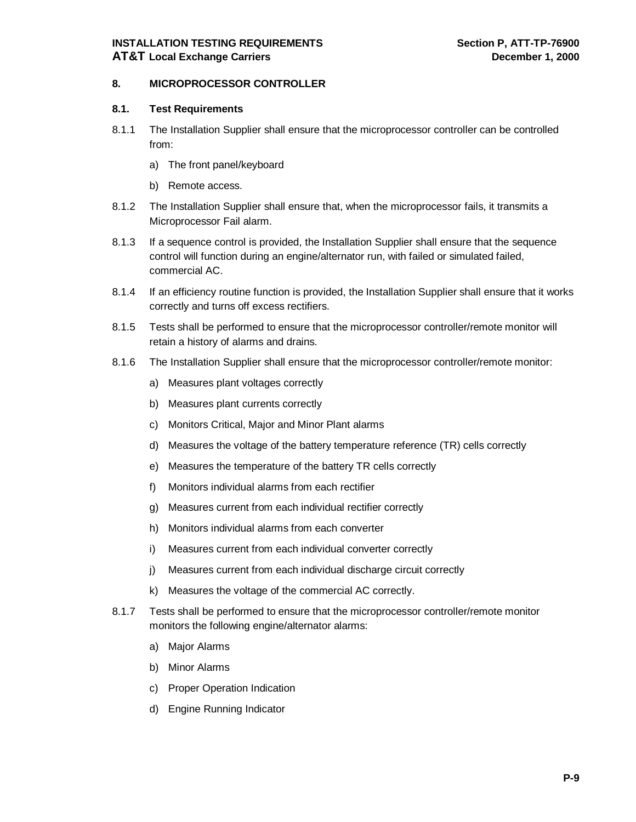# **INSTALLATION TESTING REQUIREMENTS Section P, ATT-TP-76900 AT&T Local Exchange Carriers December 1, 2000**

#### **8. MICROPROCESSOR CONTROLLER**

- 8.1.1 The Installation Supplier shall ensure that the microprocessor controller can be controlled from:
	- a) The front panel/keyboard
	- b) Remote access.
- 8.1.2 The Installation Supplier shall ensure that, when the microprocessor fails, it transmits a Microprocessor Fail alarm.
- 8.1.3 If a sequence control is provided, the Installation Supplier shall ensure that the sequence control will function during an engine/alternator run, with failed or simulated failed, commercial AC.
- 8.1.4 If an efficiency routine function is provided, the Installation Supplier shall ensure that it works correctly and turns off excess rectifiers.
- 8.1.5 Tests shall be performed to ensure that the microprocessor controller/remote monitor will retain a history of alarms and drains.
- 8.1.6 The Installation Supplier shall ensure that the microprocessor controller/remote monitor:
	- a) Measures plant voltages correctly
	- b) Measures plant currents correctly
	- c) Monitors Critical, Major and Minor Plant alarms
	- d) Measures the voltage of the battery temperature reference (TR) cells correctly
	- e) Measures the temperature of the battery TR cells correctly
	- f) Monitors individual alarms from each rectifier
	- g) Measures current from each individual rectifier correctly
	- h) Monitors individual alarms from each converter
	- i) Measures current from each individual converter correctly
	- j) Measures current from each individual discharge circuit correctly
	- k) Measures the voltage of the commercial AC correctly.
- 8.1.7 Tests shall be performed to ensure that the microprocessor controller/remote monitor monitors the following engine/alternator alarms:
	- a) Major Alarms
	- b) Minor Alarms
	- c) Proper Operation Indication
	- d) Engine Running Indicator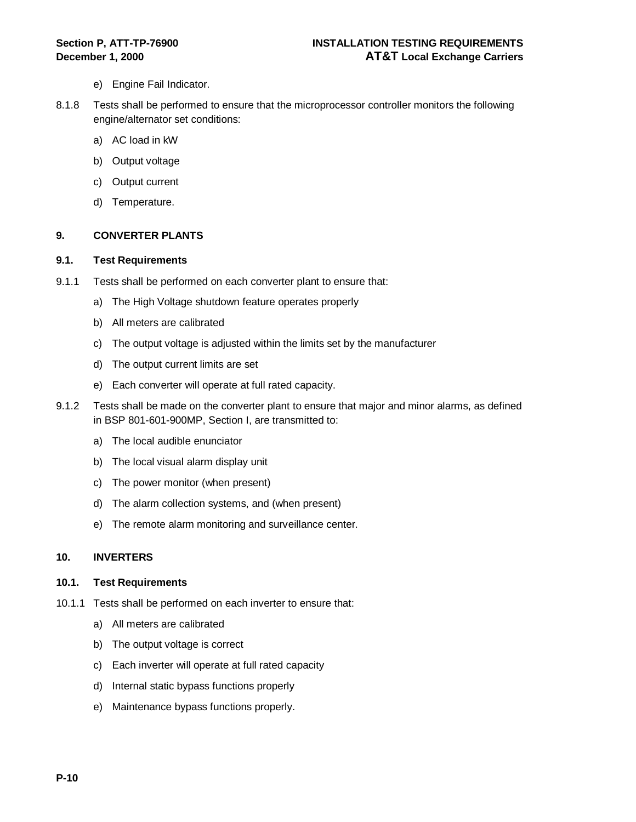- e) Engine Fail Indicator.
- 8.1.8 Tests shall be performed to ensure that the microprocessor controller monitors the following engine/alternator set conditions:
	- a) AC load in kW
	- b) Output voltage
	- c) Output current
	- d) Temperature.

#### **9. CONVERTER PLANTS**

#### **9.1. Test Requirements**

- 9.1.1 Tests shall be performed on each converter plant to ensure that:
	- a) The High Voltage shutdown feature operates properly
	- b) All meters are calibrated
	- c) The output voltage is adjusted within the limits set by the manufacturer
	- d) The output current limits are set
	- e) Each converter will operate at full rated capacity.
- 9.1.2 Tests shall be made on the converter plant to ensure that major and minor alarms, as defined in BSP 801-601-900MP, Section I, are transmitted to:
	- a) The local audible enunciator
	- b) The local visual alarm display unit
	- c) The power monitor (when present)
	- d) The alarm collection systems, and (when present)
	- e) The remote alarm monitoring and surveillance center.

#### **10. INVERTERS**

- 10.1.1 Tests shall be performed on each inverter to ensure that:
	- a) All meters are calibrated
	- b) The output voltage is correct
	- c) Each inverter will operate at full rated capacity
	- d) Internal static bypass functions properly
	- e) Maintenance bypass functions properly.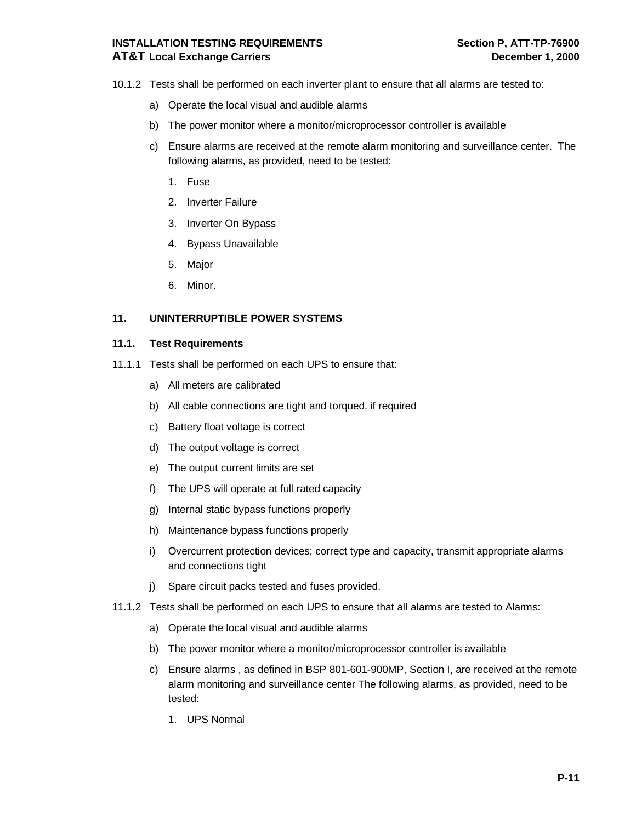# **INSTALLATION TESTING REQUIREMENTS Section P, ATT-TP-76900 AT&T Local Exchange Carriers December 1, 2000**

- 10.1.2 Tests shall be performed on each inverter plant to ensure that all alarms are tested to:
	- a) Operate the local visual and audible alarms
	- b) The power monitor where a monitor/microprocessor controller is available
	- c) Ensure alarms are received at the remote alarm monitoring and surveillance center. The following alarms, as provided, need to be tested:
		- 1. Fuse
		- 2. Inverter Failure
		- 3. Inverter On Bypass
		- 4. Bypass Unavailable
		- 5. Major
		- 6. Minor.

#### **11. UNINTERRUPTIBLE POWER SYSTEMS**

- 11.1.1 Tests shall be performed on each UPS to ensure that:
	- a) All meters are calibrated
	- b) All cable connections are tight and torqued, if required
	- c) Battery float voltage is correct
	- d) The output voltage is correct
	- e) The output current limits are set
	- f) The UPS will operate at full rated capacity
	- g) Internal static bypass functions properly
	- h) Maintenance bypass functions properly
	- i) Overcurrent protection devices; correct type and capacity, transmit appropriate alarms and connections tight
	- j) Spare circuit packs tested and fuses provided.
- 11.1.2 Tests shall be performed on each UPS to ensure that all alarms are tested to Alarms:
	- a) Operate the local visual and audible alarms
	- b) The power monitor where a monitor/microprocessor controller is available
	- c) Ensure alarms , as defined in BSP 801-601-900MP, Section I, are received at the remote alarm monitoring and surveillance center The following alarms, as provided, need to be tested:
		- 1. UPS Normal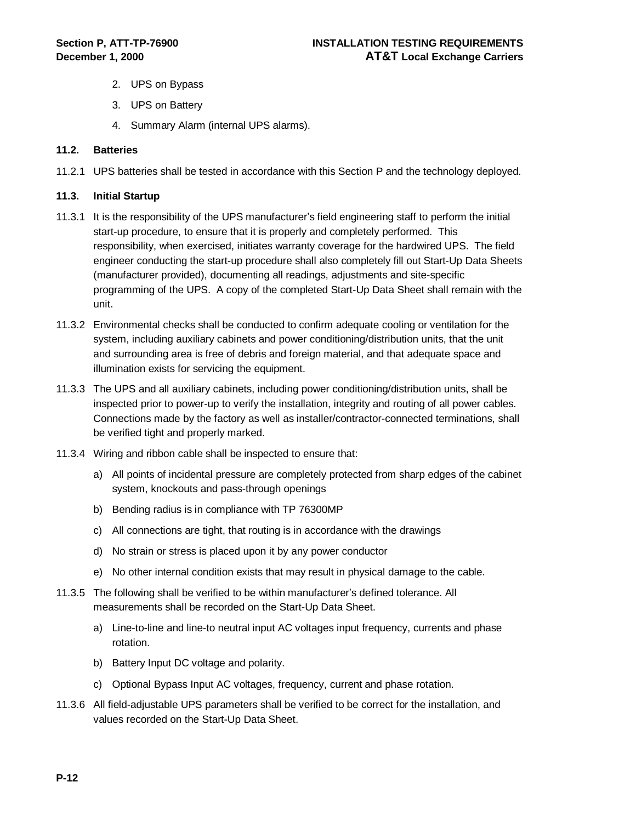- 2. UPS on Bypass
- 3. UPS on Battery
- 4. Summary Alarm (internal UPS alarms).

#### **11.2. Batteries**

11.2.1 UPS batteries shall be tested in accordance with this Section P and the technology deployed.

#### **11.3. Initial Startup**

- 11.3.1 It is the responsibility of the UPS manufacturer's field engineering staff to perform the initial start-up procedure, to ensure that it is properly and completely performed. This responsibility, when exercised, initiates warranty coverage for the hardwired UPS. The field engineer conducting the start-up procedure shall also completely fill out Start-Up Data Sheets (manufacturer provided), documenting all readings, adjustments and site-specific programming of the UPS. A copy of the completed Start-Up Data Sheet shall remain with the unit.
- 11.3.2 Environmental checks shall be conducted to confirm adequate cooling or ventilation for the system, including auxiliary cabinets and power conditioning/distribution units, that the unit and surrounding area is free of debris and foreign material, and that adequate space and illumination exists for servicing the equipment.
- 11.3.3 The UPS and all auxiliary cabinets, including power conditioning/distribution units, shall be inspected prior to power-up to verify the installation, integrity and routing of all power cables. Connections made by the factory as well as installer/contractor-connected terminations, shall be verified tight and properly marked.
- 11.3.4 Wiring and ribbon cable shall be inspected to ensure that:
	- a) All points of incidental pressure are completely protected from sharp edges of the cabinet system, knockouts and pass-through openings
	- b) Bending radius is in compliance with TP 76300MP
	- c) All connections are tight, that routing is in accordance with the drawings
	- d) No strain or stress is placed upon it by any power conductor
	- e) No other internal condition exists that may result in physical damage to the cable.
- 11.3.5 The following shall be verified to be within manufacturer's defined tolerance. All measurements shall be recorded on the Start-Up Data Sheet.
	- a) Line-to-line and line-to neutral input AC voltages input frequency, currents and phase rotation.
	- b) Battery Input DC voltage and polarity.
	- c) Optional Bypass Input AC voltages, frequency, current and phase rotation.
- 11.3.6 All field-adjustable UPS parameters shall be verified to be correct for the installation, and values recorded on the Start-Up Data Sheet.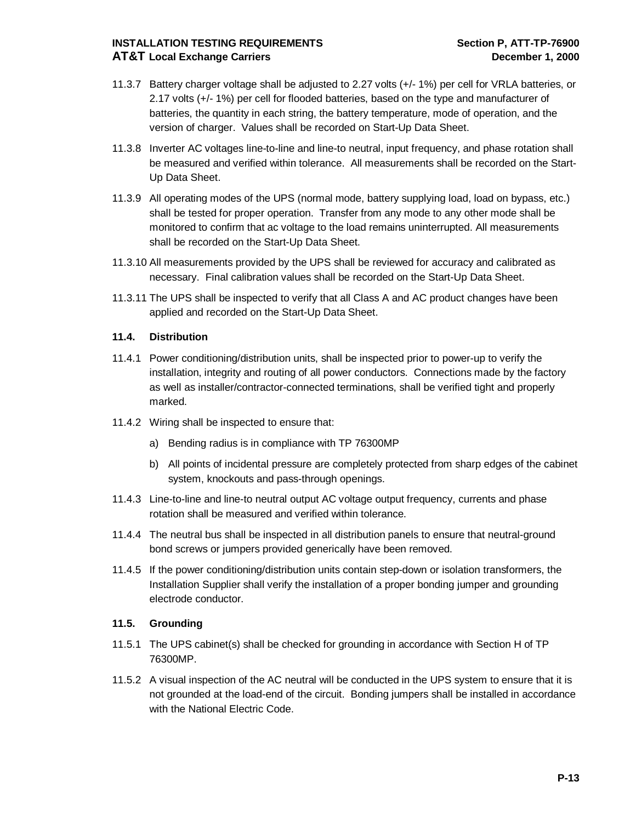# **INSTALLATION TESTING REQUIREMENTS Section P, ATT-TP-76900 AT&T Local Exchange Carriers December 1, 2000**

- 11.3.7 Battery charger voltage shall be adjusted to 2.27 volts (+/- 1%) per cell for VRLA batteries, or 2.17 volts (+/- 1%) per cell for flooded batteries, based on the type and manufacturer of batteries, the quantity in each string, the battery temperature, mode of operation, and the version of charger. Values shall be recorded on Start-Up Data Sheet.
- 11.3.8 Inverter AC voltages line-to-line and line-to neutral, input frequency, and phase rotation shall be measured and verified within tolerance. All measurements shall be recorded on the Start-Up Data Sheet.
- 11.3.9 All operating modes of the UPS (normal mode, battery supplying load, load on bypass, etc.) shall be tested for proper operation. Transfer from any mode to any other mode shall be monitored to confirm that ac voltage to the load remains uninterrupted. All measurements shall be recorded on the Start-Up Data Sheet.
- 11.3.10 All measurements provided by the UPS shall be reviewed for accuracy and calibrated as necessary. Final calibration values shall be recorded on the Start-Up Data Sheet.
- 11.3.11 The UPS shall be inspected to verify that all Class A and AC product changes have been applied and recorded on the Start-Up Data Sheet.

### **11.4. Distribution**

- 11.4.1 Power conditioning/distribution units, shall be inspected prior to power-up to verify the installation, integrity and routing of all power conductors. Connections made by the factory as well as installer/contractor-connected terminations, shall be verified tight and properly marked.
- 11.4.2 Wiring shall be inspected to ensure that:
	- a) Bending radius is in compliance with TP 76300MP
	- b) All points of incidental pressure are completely protected from sharp edges of the cabinet system, knockouts and pass-through openings.
- 11.4.3 Line-to-line and line-to neutral output AC voltage output frequency, currents and phase rotation shall be measured and verified within tolerance.
- 11.4.4 The neutral bus shall be inspected in all distribution panels to ensure that neutral-ground bond screws or jumpers provided generically have been removed.
- 11.4.5 If the power conditioning/distribution units contain step-down or isolation transformers, the Installation Supplier shall verify the installation of a proper bonding jumper and grounding electrode conductor.

# **11.5. Grounding**

- 11.5.1 The UPS cabinet(s) shall be checked for grounding in accordance with Section H of TP 76300MP.
- 11.5.2 A visual inspection of the AC neutral will be conducted in the UPS system to ensure that it is not grounded at the load-end of the circuit. Bonding jumpers shall be installed in accordance with the National Electric Code.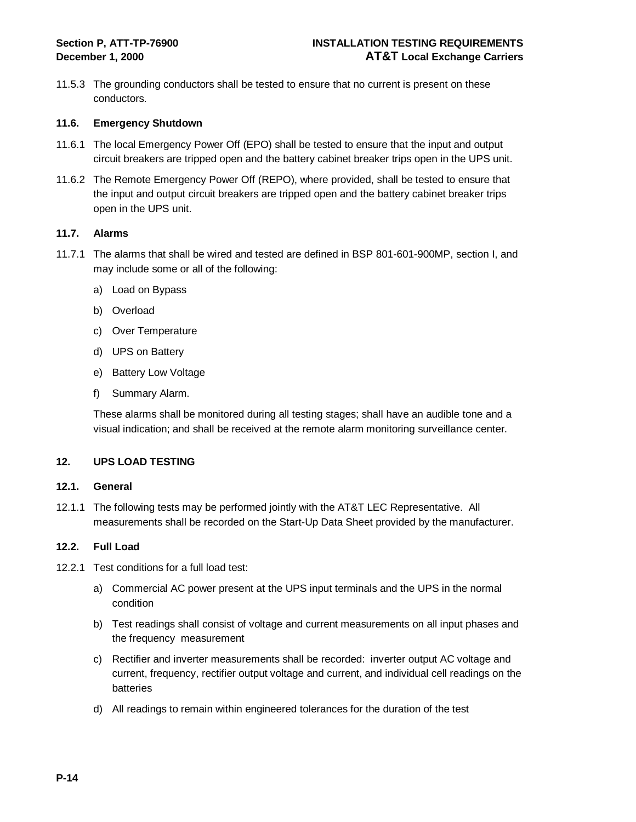11.5.3 The grounding conductors shall be tested to ensure that no current is present on these conductors.

#### **11.6. Emergency Shutdown**

- 11.6.1 The local Emergency Power Off (EPO) shall be tested to ensure that the input and output circuit breakers are tripped open and the battery cabinet breaker trips open in the UPS unit.
- 11.6.2 The Remote Emergency Power Off (REPO), where provided, shall be tested to ensure that the input and output circuit breakers are tripped open and the battery cabinet breaker trips open in the UPS unit.

#### **11.7. Alarms**

- 11.7.1 The alarms that shall be wired and tested are defined in BSP 801-601-900MP, section I, and may include some or all of the following:
	- a) Load on Bypass
	- b) Overload
	- c) Over Temperature
	- d) UPS on Battery
	- e) Battery Low Voltage
	- f) Summary Alarm.

These alarms shall be monitored during all testing stages; shall have an audible tone and a visual indication; and shall be received at the remote alarm monitoring surveillance center.

#### **12. UPS LOAD TESTING**

#### **12.1. General**

12.1.1 The following tests may be performed jointly with the AT&T LEC Representative. All measurements shall be recorded on the Start-Up Data Sheet provided by the manufacturer.

#### **12.2. Full Load**

- 12.2.1 Test conditions for a full load test:
	- a) Commercial AC power present at the UPS input terminals and the UPS in the normal condition
	- b) Test readings shall consist of voltage and current measurements on all input phases and the frequency measurement
	- c) Rectifier and inverter measurements shall be recorded: inverter output AC voltage and current, frequency, rectifier output voltage and current, and individual cell readings on the batteries
	- d) All readings to remain within engineered tolerances for the duration of the test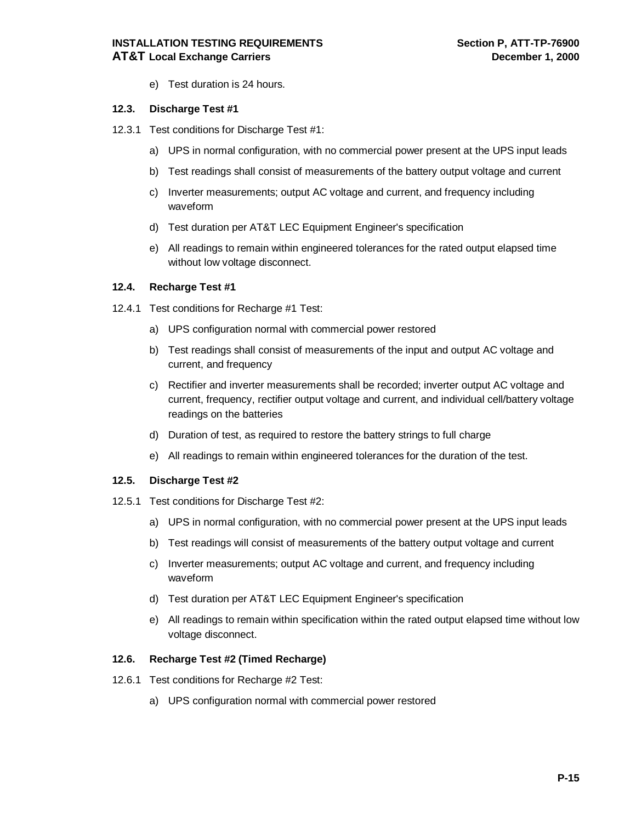e) Test duration is 24 hours.

#### **12.3. Discharge Test #1**

- 12.3.1 Test conditions for Discharge Test #1:
	- a) UPS in normal configuration, with no commercial power present at the UPS input leads
	- b) Test readings shall consist of measurements of the battery output voltage and current
	- c) Inverter measurements; output AC voltage and current, and frequency including waveform
	- d) Test duration per AT&T LEC Equipment Engineer's specification
	- e) All readings to remain within engineered tolerances for the rated output elapsed time without low voltage disconnect.

#### **12.4. Recharge Test #1**

- 12.4.1 Test conditions for Recharge #1 Test:
	- a) UPS configuration normal with commercial power restored
	- b) Test readings shall consist of measurements of the input and output AC voltage and current, and frequency
	- c) Rectifier and inverter measurements shall be recorded; inverter output AC voltage and current, frequency, rectifier output voltage and current, and individual cell/battery voltage readings on the batteries
	- d) Duration of test, as required to restore the battery strings to full charge
	- e) All readings to remain within engineered tolerances for the duration of the test.

#### **12.5. Discharge Test #2**

- 12.5.1 Test conditions for Discharge Test #2:
	- a) UPS in normal configuration, with no commercial power present at the UPS input leads
	- b) Test readings will consist of measurements of the battery output voltage and current
	- c) Inverter measurements; output AC voltage and current, and frequency including waveform
	- d) Test duration per AT&T LEC Equipment Engineer's specification
	- e) All readings to remain within specification within the rated output elapsed time without low voltage disconnect.

#### **12.6. Recharge Test #2 (Timed Recharge)**

- 12.6.1 Test conditions for Recharge #2 Test:
	- a) UPS configuration normal with commercial power restored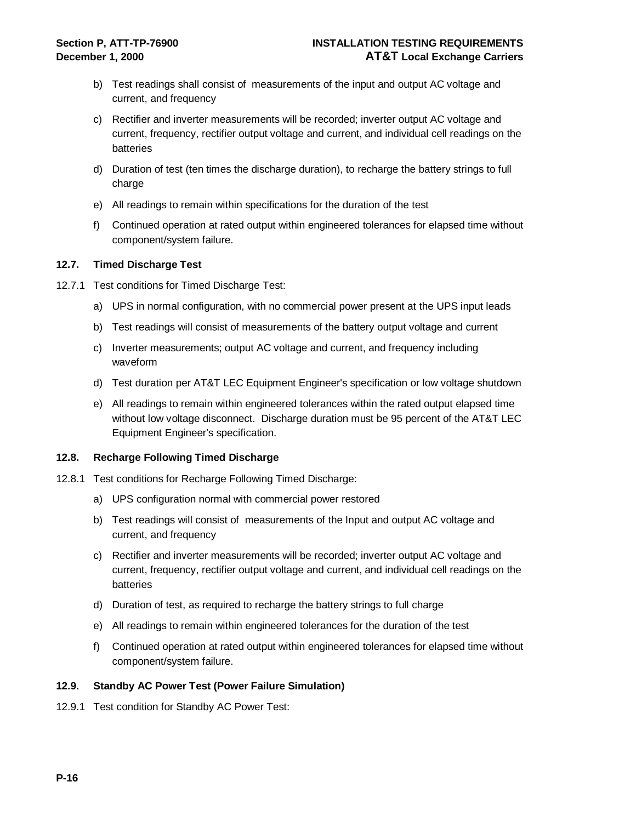- b) Test readings shall consist of measurements of the input and output AC voltage and current, and frequency
- c) Rectifier and inverter measurements will be recorded; inverter output AC voltage and current, frequency, rectifier output voltage and current, and individual cell readings on the batteries
- d) Duration of test (ten times the discharge duration), to recharge the battery strings to full charge
- e) All readings to remain within specifications for the duration of the test
- f) Continued operation at rated output within engineered tolerances for elapsed time without component/system failure.

#### **12.7. Timed Discharge Test**

- 12.7.1 Test conditions for Timed Discharge Test:
	- a) UPS in normal configuration, with no commercial power present at the UPS input leads
	- b) Test readings will consist of measurements of the battery output voltage and current
	- c) Inverter measurements; output AC voltage and current, and frequency including waveform
	- d) Test duration per AT&T LEC Equipment Engineer's specification or low voltage shutdown
	- e) All readings to remain within engineered tolerances within the rated output elapsed time without low voltage disconnect. Discharge duration must be 95 percent of the AT&T LEC Equipment Engineer's specification.

#### **12.8. Recharge Following Timed Discharge**

- 12.8.1 Test conditions for Recharge Following Timed Discharge:
	- a) UPS configuration normal with commercial power restored
	- b) Test readings will consist of measurements of the Input and output AC voltage and current, and frequency
	- c) Rectifier and inverter measurements will be recorded; inverter output AC voltage and current, frequency, rectifier output voltage and current, and individual cell readings on the batteries
	- d) Duration of test, as required to recharge the battery strings to full charge
	- e) All readings to remain within engineered tolerances for the duration of the test
	- f) Continued operation at rated output within engineered tolerances for elapsed time without component/system failure.

#### **12.9. Standby AC Power Test (Power Failure Simulation)**

12.9.1 Test condition for Standby AC Power Test: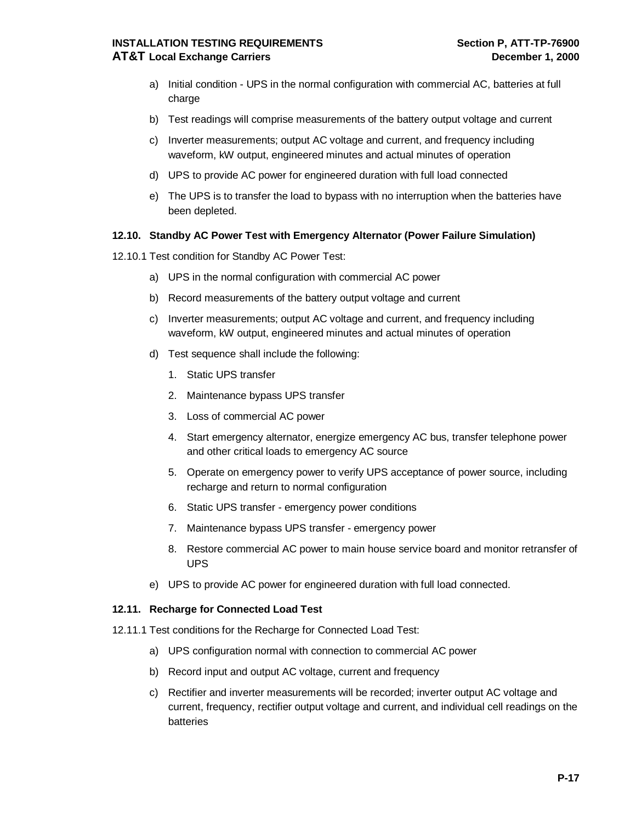# **INSTALLATION TESTING REQUIREMENTS** Section P, ATT-TP-76900 **AT&T Local Exchange Carriers December 1, 2000**

- a) Initial condition UPS in the normal configuration with commercial AC, batteries at full charge
- b) Test readings will comprise measurements of the battery output voltage and current
- c) Inverter measurements; output AC voltage and current, and frequency including waveform, kW output, engineered minutes and actual minutes of operation
- d) UPS to provide AC power for engineered duration with full load connected
- e) The UPS is to transfer the load to bypass with no interruption when the batteries have been depleted.

#### **12.10. Standby AC Power Test with Emergency Alternator (Power Failure Simulation)**

- 12.10.1 Test condition for Standby AC Power Test:
	- a) UPS in the normal configuration with commercial AC power
	- b) Record measurements of the battery output voltage and current
	- c) Inverter measurements; output AC voltage and current, and frequency including waveform, kW output, engineered minutes and actual minutes of operation
	- d) Test sequence shall include the following:
		- 1. Static UPS transfer
		- 2. Maintenance bypass UPS transfer
		- 3. Loss of commercial AC power
		- 4. Start emergency alternator, energize emergency AC bus, transfer telephone power and other critical loads to emergency AC source
		- 5. Operate on emergency power to verify UPS acceptance of power source, including recharge and return to normal configuration
		- 6. Static UPS transfer emergency power conditions
		- 7. Maintenance bypass UPS transfer emergency power
		- 8. Restore commercial AC power to main house service board and monitor retransfer of UPS
	- e) UPS to provide AC power for engineered duration with full load connected.

#### **12.11. Recharge for Connected Load Test**

- 12.11.1 Test conditions for the Recharge for Connected Load Test:
	- a) UPS configuration normal with connection to commercial AC power
	- b) Record input and output AC voltage, current and frequency
	- c) Rectifier and inverter measurements will be recorded; inverter output AC voltage and current, frequency, rectifier output voltage and current, and individual cell readings on the batteries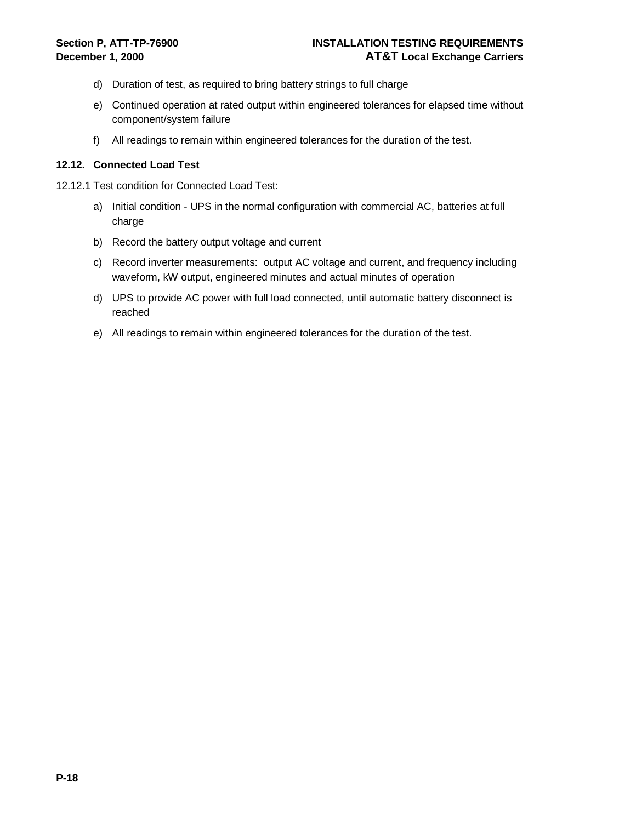- d) Duration of test, as required to bring battery strings to full charge
- e) Continued operation at rated output within engineered tolerances for elapsed time without component/system failure
- f) All readings to remain within engineered tolerances for the duration of the test.

#### **12.12. Connected Load Test**

- 12.12.1 Test condition for Connected Load Test:
	- a) Initial condition UPS in the normal configuration with commercial AC, batteries at full charge
	- b) Record the battery output voltage and current
	- c) Record inverter measurements: output AC voltage and current, and frequency including waveform, kW output, engineered minutes and actual minutes of operation
	- d) UPS to provide AC power with full load connected, until automatic battery disconnect is reached
	- e) All readings to remain within engineered tolerances for the duration of the test.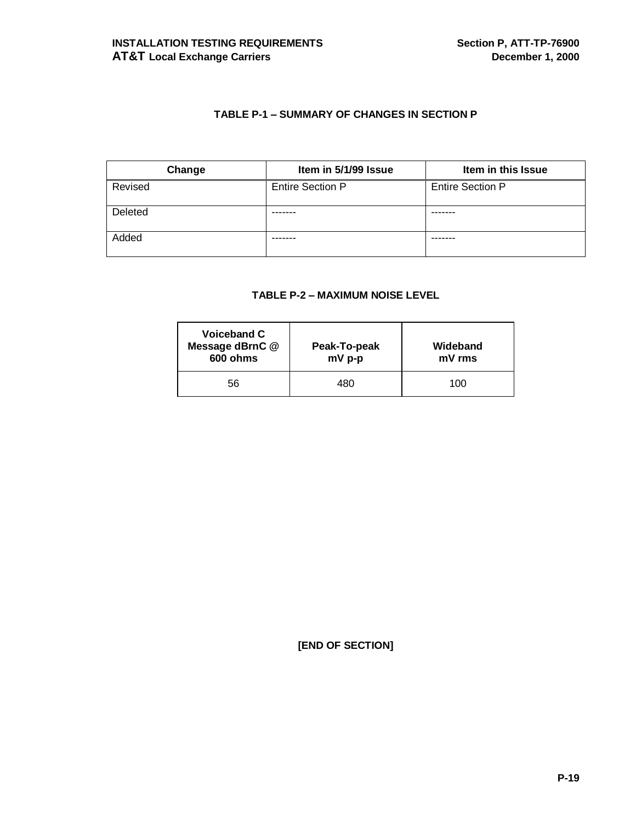# **TABLE P-1 – SUMMARY OF CHANGES IN SECTION P**

| Change  | Item in 5/1/99 Issue    | Item in this Issue      |
|---------|-------------------------|-------------------------|
| Revised | <b>Entire Section P</b> | <b>Entire Section P</b> |
| Deleted |                         |                         |
| Added   |                         |                         |

#### **TABLE P-2 – MAXIMUM NOISE LEVEL**

| Voiceband C<br>Message dBrnC @<br>600 ohms | Peak-To-peak<br>mV p-p | Wideband<br>mV rms |
|--------------------------------------------|------------------------|--------------------|
| 56                                         | 480                    | 100                |

**[END OF SECTION]**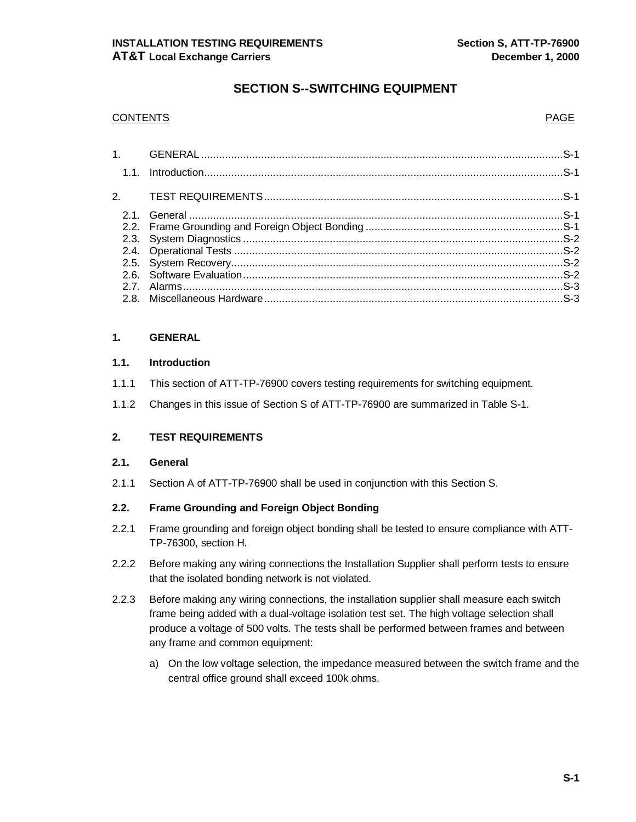# **SECTION S--SWITCHING EQUIPMENT**

#### CONTENTS PAGE

#### **1. GENERAL**

#### **1.1. Introduction**

- 1.1.1 This section of ATT-TP-76900 covers testing requirements for switching equipment.
- 1.1.2 Changes in this issue of Section S of ATT-TP-76900 are summarized in Table S-1.

#### **2. TEST REQUIREMENTS**

#### **2.1. General**

2.1.1 Section A of ATT-TP-76900 shall be used in conjunction with this Section S.

### **2.2. Frame Grounding and Foreign Object Bonding**

- 2.2.1 Frame grounding and foreign object bonding shall be tested to ensure compliance with ATT-TP-76300, section H.
- 2.2.2 Before making any wiring connections the Installation Supplier shall perform tests to ensure that the isolated bonding network is not violated.
- 2.2.3 Before making any wiring connections, the installation supplier shall measure each switch frame being added with a dual-voltage isolation test set. The high voltage selection shall produce a voltage of 500 volts. The tests shall be performed between frames and between any frame and common equipment:
	- a) On the low voltage selection, the impedance measured between the switch frame and the central office ground shall exceed 100k ohms.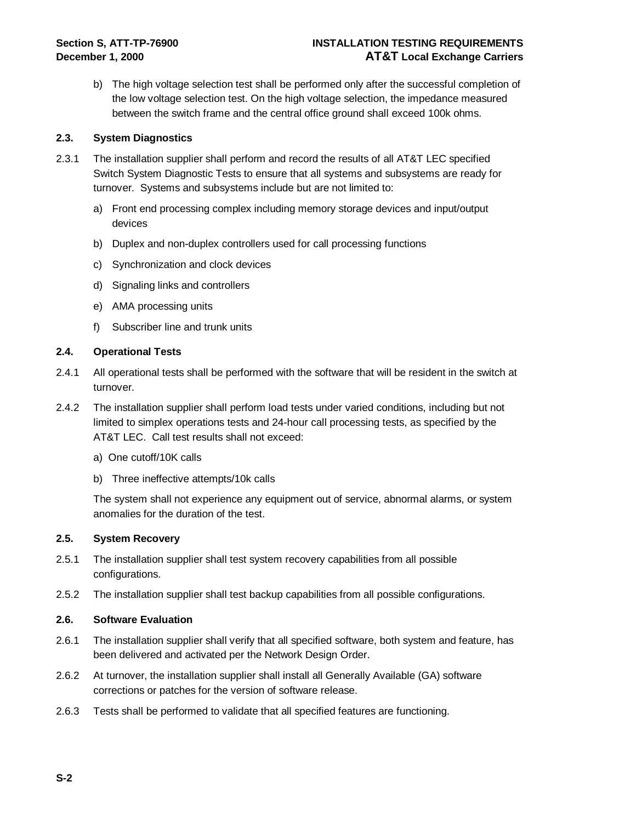b) The high voltage selection test shall be performed only after the successful completion of the low voltage selection test. On the high voltage selection, the impedance measured between the switch frame and the central office ground shall exceed 100k ohms.

#### **2.3. System Diagnostics**

- 2.3.1 The installation supplier shall perform and record the results of all AT&T LEC specified Switch System Diagnostic Tests to ensure that all systems and subsystems are ready for turnover. Systems and subsystems include but are not limited to:
	- a) Front end processing complex including memory storage devices and input/output devices
	- b) Duplex and non-duplex controllers used for call processing functions
	- c) Synchronization and clock devices
	- d) Signaling links and controllers
	- e) AMA processing units
	- f) Subscriber line and trunk units

#### **2.4. Operational Tests**

- 2.4.1 All operational tests shall be performed with the software that will be resident in the switch at turnover.
- 2.4.2 The installation supplier shall perform load tests under varied conditions, including but not limited to simplex operations tests and 24-hour call processing tests, as specified by the AT&T LEC. Call test results shall not exceed:
	- a) One cutoff/10K calls
	- b) Three ineffective attempts/10k calls

The system shall not experience any equipment out of service, abnormal alarms, or system anomalies for the duration of the test.

#### **2.5. System Recovery**

- 2.5.1 The installation supplier shall test system recovery capabilities from all possible configurations.
- 2.5.2 The installation supplier shall test backup capabilities from all possible configurations.

#### **2.6. Software Evaluation**

- 2.6.1 The installation supplier shall verify that all specified software, both system and feature, has been delivered and activated per the Network Design Order.
- 2.6.2 At turnover, the installation supplier shall install all Generally Available (GA) software corrections or patches for the version of software release.
- 2.6.3 Tests shall be performed to validate that all specified features are functioning.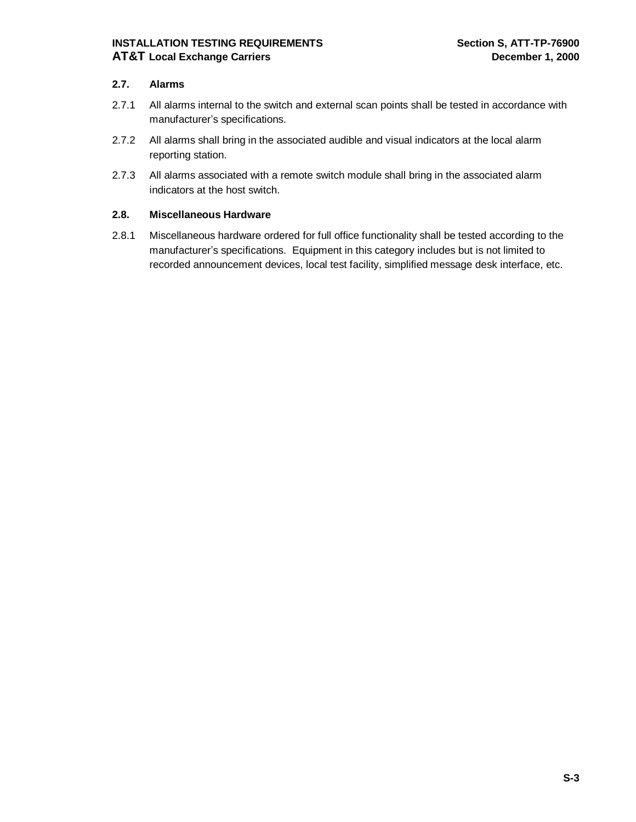### **2.7. Alarms**

- 2.7.1 All alarms internal to the switch and external scan points shall be tested in accordance with manufacturer's specifications.
- 2.7.2 All alarms shall bring in the associated audible and visual indicators at the local alarm reporting station.
- 2.7.3 All alarms associated with a remote switch module shall bring in the associated alarm indicators at the host switch.

### **2.8. Miscellaneous Hardware**

2.8.1 Miscellaneous hardware ordered for full office functionality shall be tested according to the manufacturer's specifications. Equipment in this category includes but is not limited to recorded announcement devices, local test facility, simplified message desk interface, etc.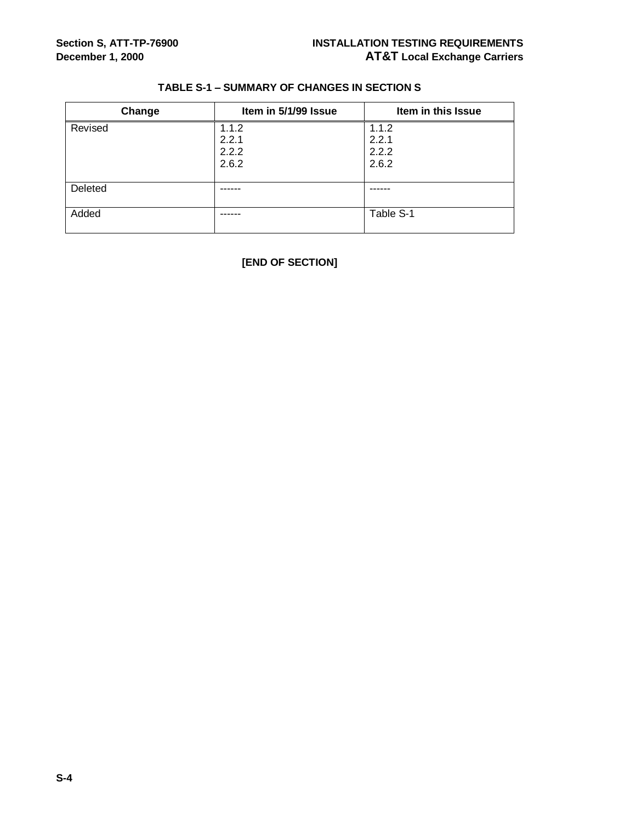| Change  | Item in 5/1/99 Issue | Item in this Issue |
|---------|----------------------|--------------------|
| Revised | 1.1.2                | 1.1.2              |
|         | 2.2.1                | 2.2.1              |
|         | 2.2.2                | 2.2.2              |
|         | 2.6.2                | 2.6.2              |
|         |                      |                    |
| Deleted |                      |                    |
|         |                      |                    |
| Added   | ------               | Table S-1          |
|         |                      |                    |

# **TABLE S-1 – SUMMARY OF CHANGES IN SECTION S**

**[END OF SECTION]**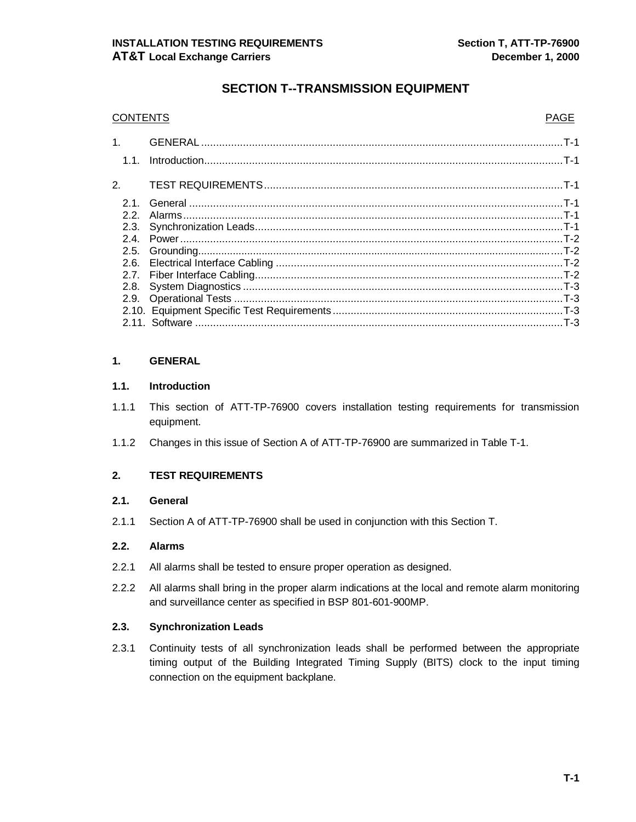# **SECTION T--TRANSMISSION EQUIPMENT**

| <b>CONTENTS</b> | PAGE |
|-----------------|------|
|                 |      |
|                 |      |
|                 |      |
|                 |      |
| 2.2.            |      |
|                 |      |
|                 |      |
|                 |      |
|                 |      |
|                 |      |
|                 |      |
|                 |      |
|                 |      |
|                 |      |
|                 |      |

### **1. GENERAL**

#### **1.1. Introduction**

- 1.1.1 This section of ATT-TP-76900 covers installation testing requirements for transmission equipment.
- 1.1.2 Changes in this issue of Section A of ATT-TP-76900 are summarized in Table T-1.

#### **2. TEST REQUIREMENTS**

#### **2.1. General**

2.1.1 Section A of ATT-TP-76900 shall be used in conjunction with this Section T.

#### **2.2. Alarms**

- 2.2.1 All alarms shall be tested to ensure proper operation as designed.
- 2.2.2 All alarms shall bring in the proper alarm indications at the local and remote alarm monitoring and surveillance center as specified in BSP 801-601-900MP.

#### **2.3. Synchronization Leads**

2.3.1 Continuity tests of all synchronization leads shall be performed between the appropriate timing output of the Building Integrated Timing Supply (BITS) clock to the input timing connection on the equipment backplane.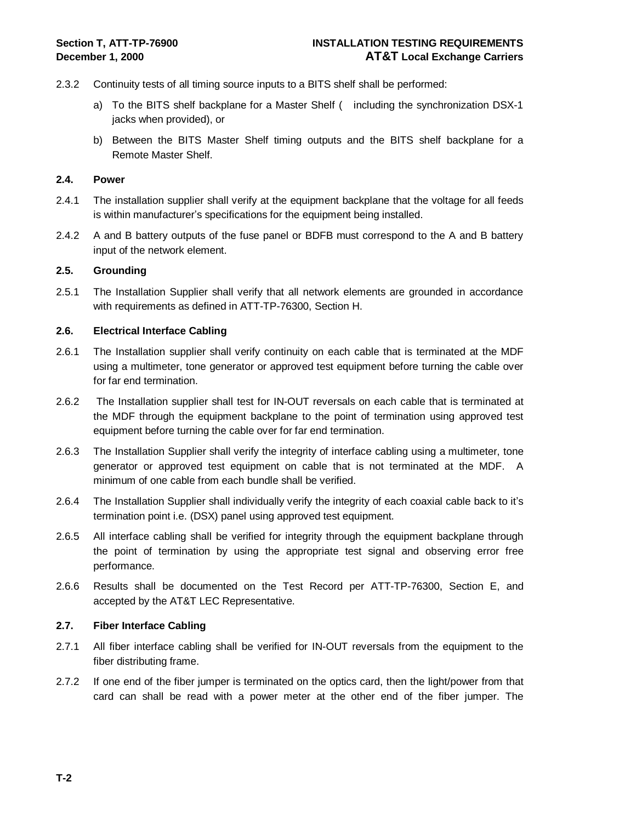- 2.3.2 Continuity tests of all timing source inputs to a BITS shelf shall be performed:
	- a) To the BITS shelf backplane for a Master Shelf ( including the synchronization DSX-1 jacks when provided), or
	- b) Between the BITS Master Shelf timing outputs and the BITS shelf backplane for a Remote Master Shelf.

#### **2.4. Power**

- 2.4.1 The installation supplier shall verify at the equipment backplane that the voltage for all feeds is within manufacturer's specifications for the equipment being installed.
- 2.4.2 A and B battery outputs of the fuse panel or BDFB must correspond to the A and B battery input of the network element.

#### **2.5. Grounding**

2.5.1 The Installation Supplier shall verify that all network elements are grounded in accordance with requirements as defined in ATT-TP-76300, Section H.

#### **2.6. Electrical Interface Cabling**

- 2.6.1 The Installation supplier shall verify continuity on each cable that is terminated at the MDF using a multimeter, tone generator or approved test equipment before turning the cable over for far end termination.
- 2.6.2 The Installation supplier shall test for IN-OUT reversals on each cable that is terminated at the MDF through the equipment backplane to the point of termination using approved test equipment before turning the cable over for far end termination.
- 2.6.3 The Installation Supplier shall verify the integrity of interface cabling using a multimeter, tone generator or approved test equipment on cable that is not terminated at the MDF. A minimum of one cable from each bundle shall be verified.
- 2.6.4 The Installation Supplier shall individually verify the integrity of each coaxial cable back to it's termination point i.e. (DSX) panel using approved test equipment.
- 2.6.5 All interface cabling shall be verified for integrity through the equipment backplane through the point of termination by using the appropriate test signal and observing error free performance.
- 2.6.6 Results shall be documented on the Test Record per ATT-TP-76300, Section E, and accepted by the AT&T LEC Representative.

#### **2.7. Fiber Interface Cabling**

- 2.7.1 All fiber interface cabling shall be verified for IN-OUT reversals from the equipment to the fiber distributing frame.
- 2.7.2 If one end of the fiber jumper is terminated on the optics card, then the light/power from that card can shall be read with a power meter at the other end of the fiber jumper. The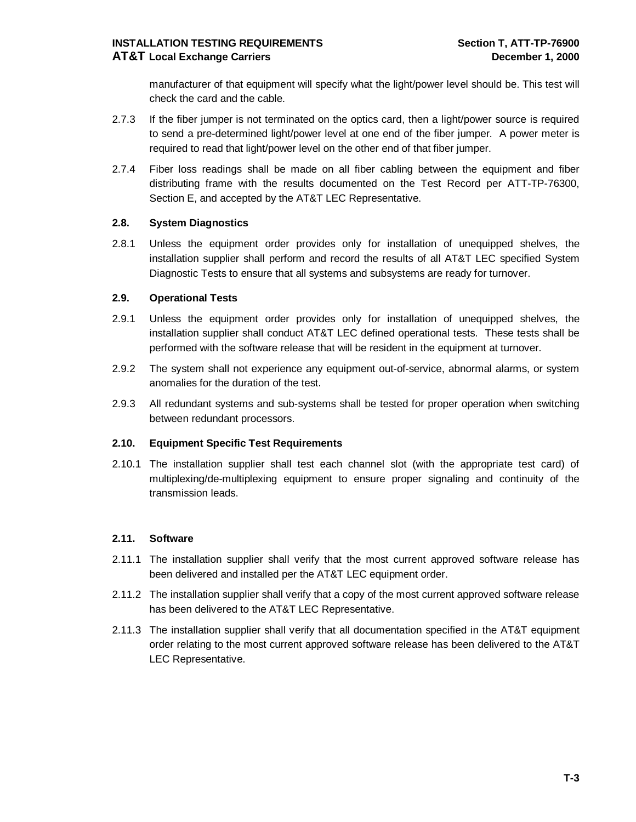manufacturer of that equipment will specify what the light/power level should be. This test will check the card and the cable.

- 2.7.3 If the fiber jumper is not terminated on the optics card, then a light/power source is required to send a pre-determined light/power level at one end of the fiber jumper. A power meter is required to read that light/power level on the other end of that fiber jumper.
- 2.7.4 Fiber loss readings shall be made on all fiber cabling between the equipment and fiber distributing frame with the results documented on the Test Record per ATT-TP-76300, Section E, and accepted by the AT&T LEC Representative.

#### **2.8. System Diagnostics**

2.8.1 Unless the equipment order provides only for installation of unequipped shelves, the installation supplier shall perform and record the results of all AT&T LEC specified System Diagnostic Tests to ensure that all systems and subsystems are ready for turnover.

#### **2.9. Operational Tests**

- 2.9.1 Unless the equipment order provides only for installation of unequipped shelves, the installation supplier shall conduct AT&T LEC defined operational tests. These tests shall be performed with the software release that will be resident in the equipment at turnover.
- 2.9.2 The system shall not experience any equipment out-of-service, abnormal alarms, or system anomalies for the duration of the test.
- 2.9.3 All redundant systems and sub-systems shall be tested for proper operation when switching between redundant processors.

#### **2.10. Equipment Specific Test Requirements**

2.10.1 The installation supplier shall test each channel slot (with the appropriate test card) of multiplexing/de-multiplexing equipment to ensure proper signaling and continuity of the transmission leads.

#### **2.11. Software**

- 2.11.1 The installation supplier shall verify that the most current approved software release has been delivered and installed per the AT&T LEC equipment order.
- 2.11.2 The installation supplier shall verify that a copy of the most current approved software release has been delivered to the AT&T LEC Representative.
- 2.11.3 The installation supplier shall verify that all documentation specified in the AT&T equipment order relating to the most current approved software release has been delivered to the AT&T LEC Representative.